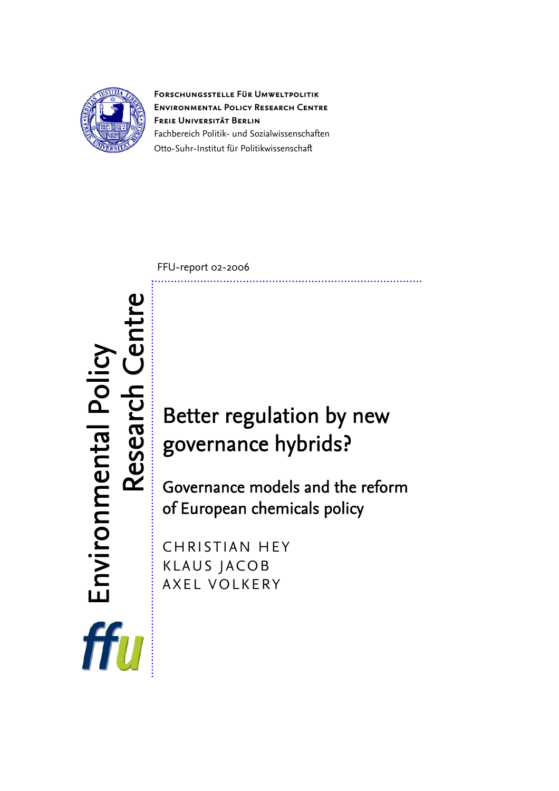

**Forschungsstelle Für Umweltpolitik Environmental Policy Research Centre Freie Universität Berlin**  Fachbereich Politik- und Sozialwissenschaften Otto-Suhr-Institut für Politikwissenschaft

FFU-report 02-2006

# Environmental Policy ffu

# LE<br>
COM<br>
Better regulation by new<br>
Better regulation by new<br>
governance hybrids?<br>
Governance models and the refor governance hybrids?

Governance models and the reform of European chemicals policy

CHRISTIAN HEY KLAUS JACOB AXEL VOLKERY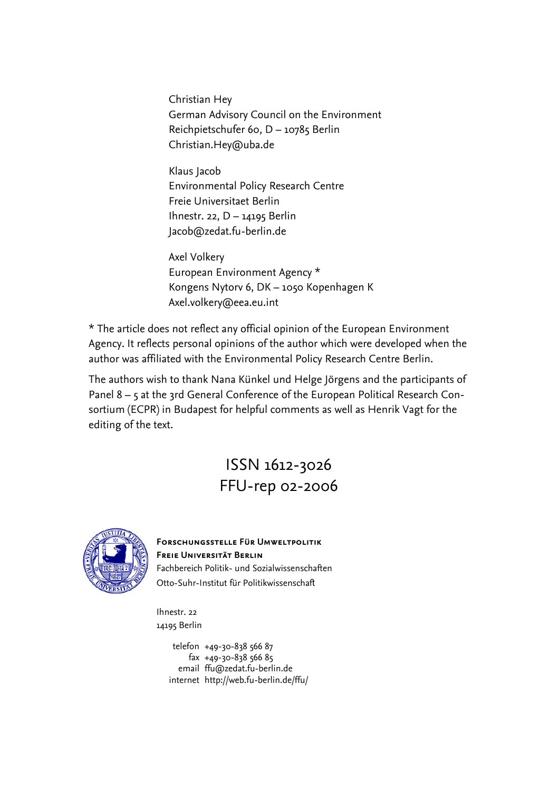Christian Hey German Advisory Council on the Environment Reichpietschufer 60, D – 10785 Berlin Christian.Hey@uba.de

Klaus Jacob Environmental Policy Research Centre Freie Universitaet Berlin Ihnestr. 22, D – 14195 Berlin Jacob@zedat.fu-berlin.de

Axel Volkery European Environment Agency \* Kongens Nytorv 6, DK – 1050 Kopenhagen K Axel.volkery@eea.eu.int

\* The article does not reflect any official opinion of the European Environment Agency. It reflects personal opinions of the author which were developed when the author was affiliated with the Environmental Policy Research Centre Berlin.

The authors wish to thank Nana Künkel und Helge Jörgens and the participants of Panel 8 – 5 at the 3rd General Conference of the European Political Research Consortium (ECPR) in Budapest for helpful comments as well as Henrik Vagt for the editing of the text.

> ISSN 1612-3026 FFU-rep 02-2006



#### **Forschungsstelle Für Umweltpolitik Freie Universität Berlin**

Fachbereich Politik- und Sozialwissenschaften Otto-Suhr-Institut für Politikwissenschaft

Ihnestr. 22 14195 Berlin

> telefon +49-30-838 566 87 fax +49-30-838 566 85 email [ffu@zedat.fu-berlin.de](mailto:ffu@zedat.fu-berlin.de)  internet http://web.fu-berlin.de/ffu/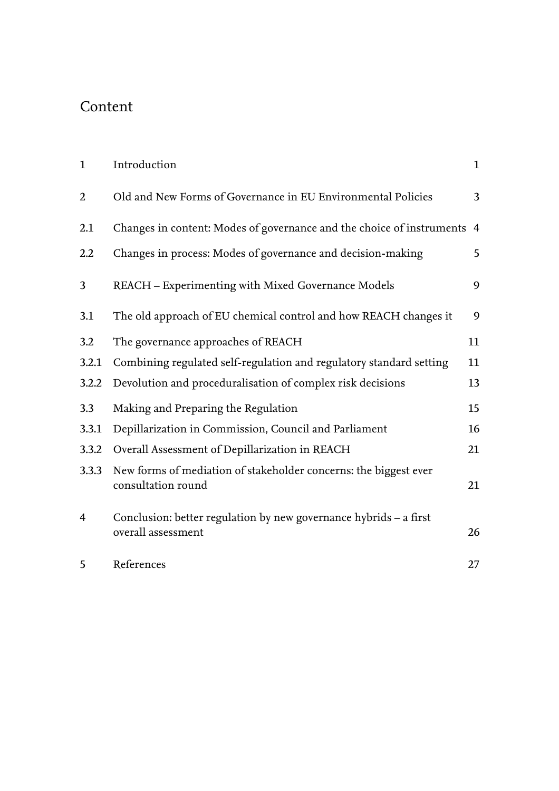# Content

| $\mathbf{1}$   | Introduction                                                                            | $\mathbf{1}$   |
|----------------|-----------------------------------------------------------------------------------------|----------------|
| $\overline{2}$ | Old and New Forms of Governance in EU Environmental Policies                            | 3              |
| 2.1            | Changes in content: Modes of governance and the choice of instruments                   | $\overline{4}$ |
| 2.2            | Changes in process: Modes of governance and decision-making                             | 5              |
| 3              | REACH - Experimenting with Mixed Governance Models                                      | 9              |
| 3.1            | The old approach of EU chemical control and how REACH changes it                        | 9              |
| 3.2            | The governance approaches of REACH                                                      | 11             |
| 3.2.1          | Combining regulated self-regulation and regulatory standard setting                     | 11             |
| 3.2.2          | Devolution and proceduralisation of complex risk decisions                              | 13             |
| 3.3            | Making and Preparing the Regulation                                                     | 15             |
| 3.3.1          | Depillarization in Commission, Council and Parliament                                   | 16             |
| 3.3.2          | Overall Assessment of Depillarization in REACH                                          | 21             |
| 3.3.3          | New forms of mediation of stakeholder concerns: the biggest ever<br>consultation round  | 21             |
| 4              | Conclusion: better regulation by new governance hybrids - a first<br>overall assessment | 26             |
| 5              | References                                                                              | 27             |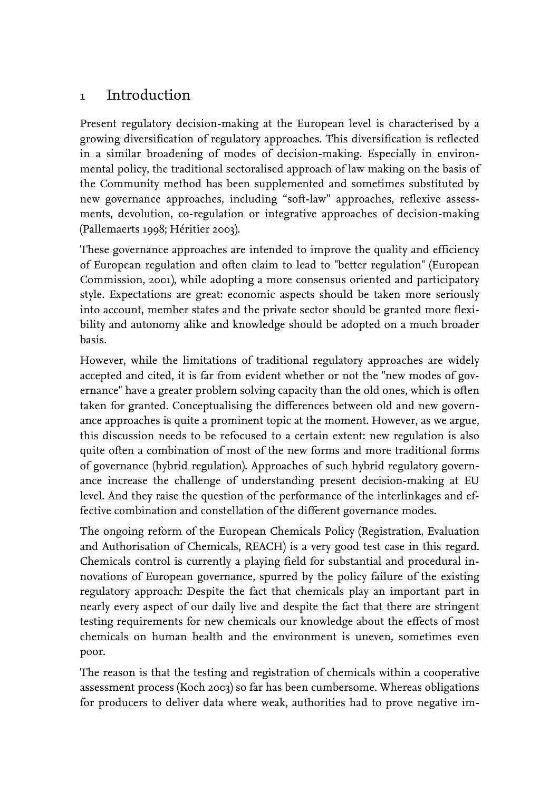# <span id="page-4-0"></span>1 Introduction

Present regulatory decision-making at the European level is characterised by a growing diversification of regulatory approaches. This diversification is reflected in a similar broadening of modes of decision-making. Especially in environmental policy, the traditional sectoralised approach of law making on the basis of the Community method has been supplemented and sometimes substituted by new governance approaches, including "soft-law" approaches, reflexive assessments, devolution, co-regulation or integrative approaches of decision-making (Pallemaerts 1998; Héritier 2003).

These governance approaches are intended to improve the quality and efficiency of European regulation and often claim to lead to "better regulation" (European Commission, 2001), while adopting a more consensus oriented and participatory style. Expectations are great: economic aspects should be taken more seriously into account, member states and the private sector should be granted more flexibility and autonomy alike and knowledge should be adopted on a much broader basis.

However, while the limitations of traditional regulatory approaches are widely accepted and cited, it is far from evident whether or not the "new modes of governance" have a greater problem solving capacity than the old ones, which is often taken for granted. Conceptualising the differences between old and new governance approaches is quite a prominent topic at the moment. However, as we argue, this discussion needs to be refocused to a certain extent: new regulation is also quite often a combination of most of the new forms and more traditional forms of governance (hybrid regulation). Approaches of such hybrid regulatory governance increase the challenge of understanding present decision-making at EU level. And they raise the question of the performance of the interlinkages and effective combination and constellation of the different governance modes.

The ongoing reform of the European Chemicals Policy (Registration, Evaluation and Authorisation of Chemicals, REACH) is a very good test case in this regard. Chemicals control is currently a playing field for substantial and procedural innovations of European governance, spurred by the policy failure of the existing regulatory approach: Despite the fact that chemicals play an important part in nearly every aspect of our daily live and despite the fact that there are stringent testing requirements for new chemicals our knowledge about the effects of most chemicals on human health and the environment is uneven, sometimes even poor.

The reason is that the testing and registration of chemicals within a cooperative assessment process (Koch 2003) so far has been cumbersome. Whereas obligations for producers to deliver data where weak, authorities had to prove negative im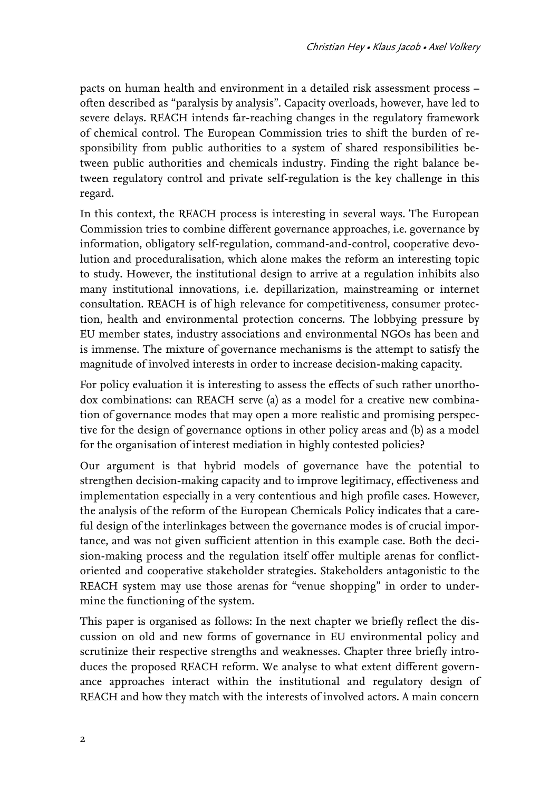pacts on human health and environment in a detailed risk assessment process – often described as "paralysis by analysis". Capacity overloads, however, have led to severe delays. REACH intends far-reaching changes in the regulatory framework of chemical control. The European Commission tries to shift the burden of responsibility from public authorities to a system of shared responsibilities between public authorities and chemicals industry. Finding the right balance between regulatory control and private self-regulation is the key challenge in this regard.

In this context, the REACH process is interesting in several ways. The European Commission tries to combine different governance approaches, i.e. governance by information, obligatory self-regulation, command-and-control, cooperative devolution and proceduralisation, which alone makes the reform an interesting topic to study. However, the institutional design to arrive at a regulation inhibits also many institutional innovations, i.e. depillarization, mainstreaming or internet consultation. REACH is of high relevance for competitiveness, consumer protection, health and environmental protection concerns. The lobbying pressure by EU member states, industry associations and environmental NGOs has been and is immense. The mixture of governance mechanisms is the attempt to satisfy the magnitude of involved interests in order to increase decision-making capacity.

For policy evaluation it is interesting to assess the effects of such rather unorthodox combinations: can REACH serve (a) as a model for a creative new combination of governance modes that may open a more realistic and promising perspective for the design of governance options in other policy areas and (b) as a model for the organisation of interest mediation in highly contested policies?

Our argument is that hybrid models of governance have the potential to strengthen decision-making capacity and to improve legitimacy, effectiveness and implementation especially in a very contentious and high profile cases. However, the analysis of the reform of the European Chemicals Policy indicates that a careful design of the interlinkages between the governance modes is of crucial importance, and was not given sufficient attention in this example case. Both the decision-making process and the regulation itself offer multiple arenas for conflictoriented and cooperative stakeholder strategies. Stakeholders antagonistic to the REACH system may use those arenas for "venue shopping" in order to undermine the functioning of the system.

This paper is organised as follows: In the next chapter we briefly reflect the discussion on old and new forms of governance in EU environmental policy and scrutinize their respective strengths and weaknesses. Chapter three briefly introduces the proposed REACH reform. We analyse to what extent different governance approaches interact within the institutional and regulatory design of REACH and how they match with the interests of involved actors. A main concern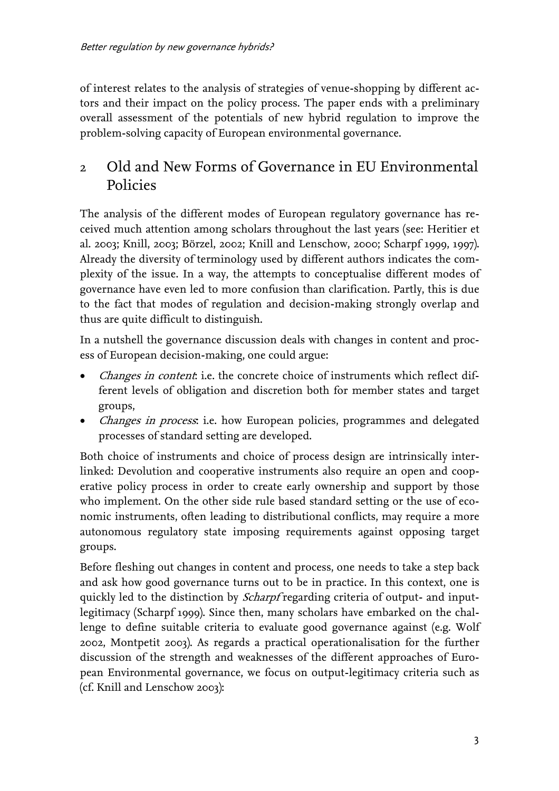of interest relates to the analysis of strategies of venue-shopping by different actors and their impact on the policy process. The paper ends with a preliminary overall assessment of the potentials of new hybrid regulation to improve the problem-solving capacity of European environmental governance.

# 2 Old and New Forms of Governance in EU Environmental Policies

The analysis of the different modes of European regulatory governance has received much attention among scholars throughout the last years (see: Heritier et al. 2003; Knill, 2003; Börzel, 2002; Knill and Lenschow, 2000; Scharpf 1999, 1997). Already the diversity of terminology used by different authors indicates the complexity of the issue. In a way, the attempts to conceptualise different modes of governance have even led to more confusion than clarification. Partly, this is due to the fact that modes of regulation and decision-making strongly overlap and thus are quite difficult to distinguish.

In a nutshell the governance discussion deals with changes in content and process of European decision-making, one could argue:

- Changes in content. i.e. the concrete choice of instruments which reflect different levels of obligation and discretion both for member states and target groups,
- Changes in process. i.e. how European policies, programmes and delegated processes of standard setting are developed.

Both choice of instruments and choice of process design are intrinsically interlinked: Devolution and cooperative instruments also require an open and cooperative policy process in order to create early ownership and support by those who implement. On the other side rule based standard setting or the use of economic instruments, often leading to distributional conflicts, may require a more autonomous regulatory state imposing requirements against opposing target groups.

Before fleshing out changes in content and process, one needs to take a step back and ask how good governance turns out to be in practice. In this context, one is quickly led to the distinction by *Scharpf* regarding criteria of output- and inputlegitimacy (Scharpf 1999). Since then, many scholars have embarked on the challenge to define suitable criteria to evaluate good governance against (e.g. Wolf 2002, Montpetit 2003). As regards a practical operationalisation for the further discussion of the strength and weaknesses of the different approaches of European Environmental governance, we focus on output-legitimacy criteria such as (cf. Knill and Lenschow 2003):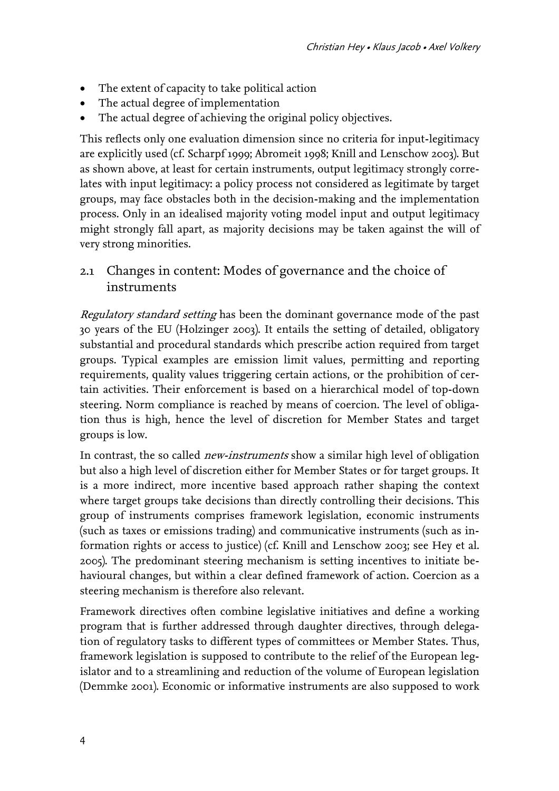- The extent of capacity to take political action
- The actual degree of implementation
- The actual degree of achieving the original policy objectives.

This reflects only one evaluation dimension since no criteria for input-legitimacy are explicitly used (cf. Scharpf 1999; Abromeit 1998; Knill and Lenschow 2003). But as shown above, at least for certain instruments, output legitimacy strongly correlates with input legitimacy: a policy process not considered as legitimate by target groups, may face obstacles both in the decision-making and the implementation process. Only in an idealised majority voting model input and output legitimacy might strongly fall apart, as majority decisions may be taken against the will of very strong minorities.

<span id="page-7-0"></span>2.1 Changes in content: Modes of governance and the choice of instruments

Regulatory standard setting has been the dominant governance mode of the past 30 years of the EU (Holzinger 2003). It entails the setting of detailed, obligatory substantial and procedural standards which prescribe action required from target groups. Typical examples are emission limit values, permitting and reporting requirements, quality values triggering certain actions, or the prohibition of certain activities. Their enforcement is based on a hierarchical model of top-down steering. Norm compliance is reached by means of coercion. The level of obligation thus is high, hence the level of discretion for Member States and target groups is low.

In contrast, the so called *new-instruments* show a similar high level of obligation but also a high level of discretion either for Member States or for target groups. It is a more indirect, more incentive based approach rather shaping the context where target groups take decisions than directly controlling their decisions. This group of instruments comprises framework legislation, economic instruments (such as taxes or emissions trading) and communicative instruments (such as information rights or access to justice) (cf. Knill and Lenschow 2003; see Hey et al. 2005). The predominant steering mechanism is setting incentives to initiate behavioural changes, but within a clear defined framework of action. Coercion as a steering mechanism is therefore also relevant.

Framework directives often combine legislative initiatives and define a working program that is further addressed through daughter directives, through delegation of regulatory tasks to different types of committees or Member States. Thus, framework legislation is supposed to contribute to the relief of the European legislator and to a streamlining and reduction of the volume of European legislation (Demmke 2001). Economic or informative instruments are also supposed to work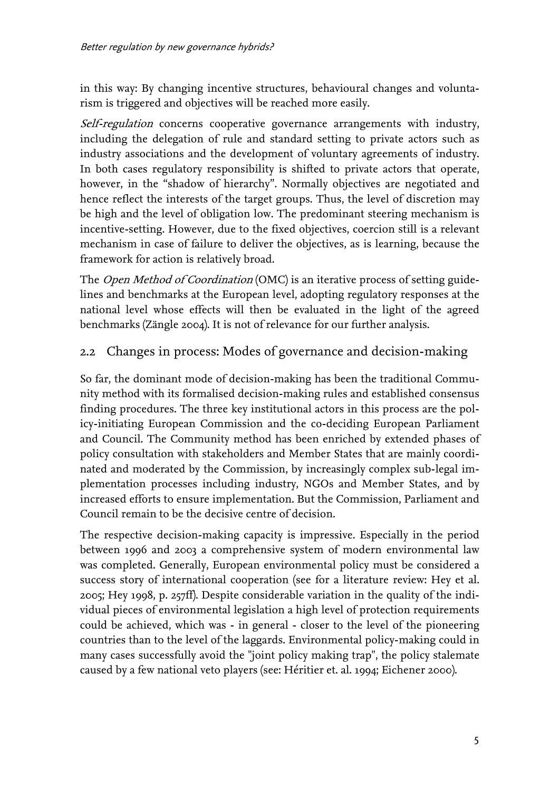in this way: By changing incentive structures, behavioural changes and voluntarism is triggered and objectives will be reached more easily.

Self-regulation concerns cooperative governance arrangements with industry, including the delegation of rule and standard setting to private actors such as industry associations and the development of voluntary agreements of industry. In both cases regulatory responsibility is shifted to private actors that operate, however, in the "shadow of hierarchy". Normally objectives are negotiated and hence reflect the interests of the target groups. Thus, the level of discretion may be high and the level of obligation low. The predominant steering mechanism is incentive-setting. However, due to the fixed objectives, coercion still is a relevant mechanism in case of failure to deliver the objectives, as is learning, because the framework for action is relatively broad.

The *Open Method of Coordination* (OMC) is an iterative process of setting guidelines and benchmarks at the European level, adopting regulatory responses at the national level whose effects will then be evaluated in the light of the agreed benchmarks (Zängle 2004). It is not of relevance for our further analysis.

#### <span id="page-8-0"></span>2.2 Changes in process: Modes of governance and decision-making

So far, the dominant mode of decision-making has been the traditional Community method with its formalised decision-making rules and established consensus finding procedures. The three key institutional actors in this process are the policy-initiating European Commission and the co-deciding European Parliament and Council. The Community method has been enriched by extended phases of policy consultation with stakeholders and Member States that are mainly coordinated and moderated by the Commission, by increasingly complex sub-legal implementation processes including industry, NGOs and Member States, and by increased efforts to ensure implementation. But the Commission, Parliament and Council remain to be the decisive centre of decision.

The respective decision-making capacity is impressive. Especially in the period between 1996 and 2003 a comprehensive system of modern environmental law was completed. Generally, European environmental policy must be considered a success story of international cooperation (see for a literature review: Hey et al. 2005; Hey 1998, p. 257ff). Despite considerable variation in the quality of the individual pieces of environmental legislation a high level of protection requirements could be achieved, which was - in general - closer to the level of the pioneering countries than to the level of the laggards. Environmental policy-making could in many cases successfully avoid the "joint policy making trap", the policy stalemate caused by a few national veto players (see: Héritier et. al. 1994; Eichener 2000).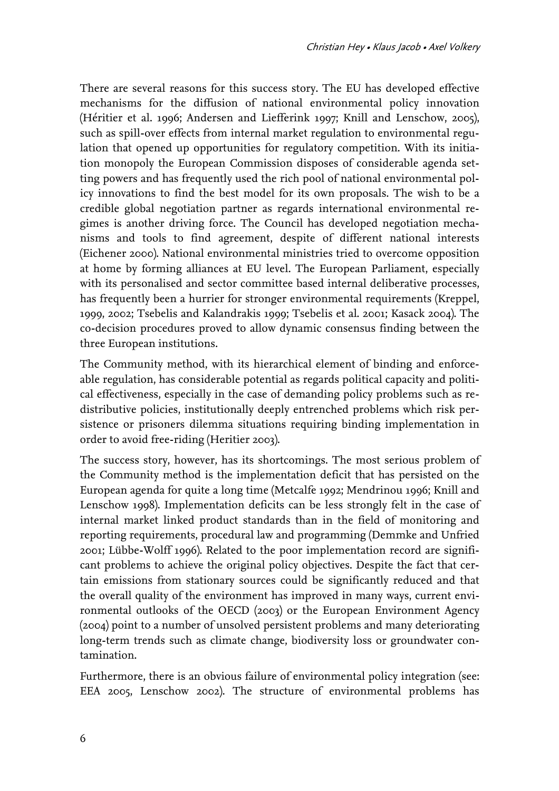There are several reasons for this success story. The EU has developed effective mechanisms for the diffusion of national environmental policy innovation (Héritier et al. 1996; Andersen and Liefferink 1997; Knill and Lenschow, 2005), such as spill-over effects from internal market regulation to environmental regulation that opened up opportunities for regulatory competition. With its initiation monopoly the European Commission disposes of considerable agenda setting powers and has frequently used the rich pool of national environmental policy innovations to find the best model for its own proposals. The wish to be a credible global negotiation partner as regards international environmental regimes is another driving force. The Council has developed negotiation mechanisms and tools to find agreement, despite of different national interests (Eichener 2000). National environmental ministries tried to overcome opposition at home by forming alliances at EU level. The European Parliament, especially with its personalised and sector committee based internal deliberative processes, has frequently been a hurrier for stronger environmental requirements (Kreppel, 1999, 2002; Tsebelis and Kalandrakis 1999; Tsebelis et al. 2001; Kasack 2004). The co-decision procedures proved to allow dynamic consensus finding between the three European institutions.

The Community method, with its hierarchical element of binding and enforceable regulation, has considerable potential as regards political capacity and political effectiveness, especially in the case of demanding policy problems such as redistributive policies, institutionally deeply entrenched problems which risk persistence or prisoners dilemma situations requiring binding implementation in order to avoid free-riding (Heritier 2003).

The success story, however, has its shortcomings. The most serious problem of the Community method is the implementation deficit that has persisted on the European agenda for quite a long time (Metcalfe 1992; Mendrinou 1996; Knill and Lenschow 1998). Implementation deficits can be less strongly felt in the case of internal market linked product standards than in the field of monitoring and reporting requirements, procedural law and programming (Demmke and Unfried 2001; Lübbe-Wolff 1996). Related to the poor implementation record are significant problems to achieve the original policy objectives. Despite the fact that certain emissions from stationary sources could be significantly reduced and that the overall quality of the environment has improved in many ways, current environmental outlooks of the OECD (2003) or the European Environment Agency (2004) point to a number of unsolved persistent problems and many deteriorating long-term trends such as climate change, biodiversity loss or groundwater contamination.

Furthermore, there is an obvious failure of environmental policy integration (see: EEA 2005, Lenschow 2002). The structure of environmental problems has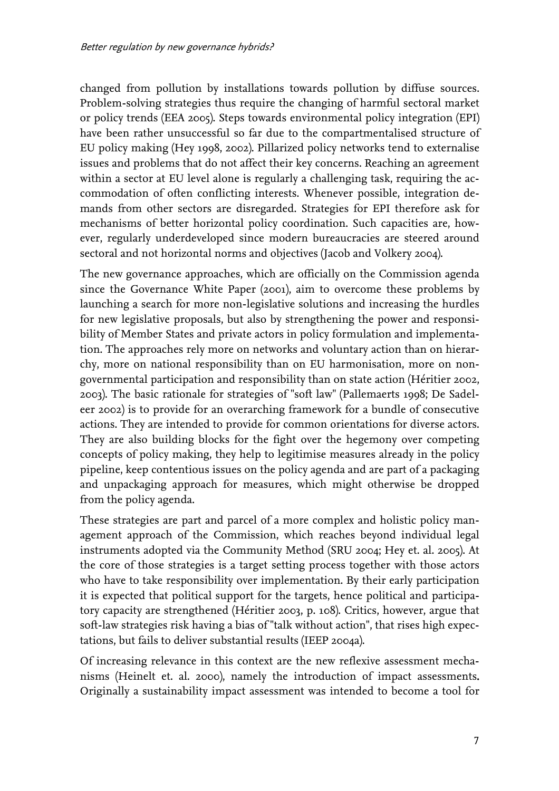changed from pollution by installations towards pollution by diffuse sources. Problem-solving strategies thus require the changing of harmful sectoral market or policy trends (EEA 2005). Steps towards environmental policy integration (EPI) have been rather unsuccessful so far due to the compartmentalised structure of EU policy making (Hey 1998, 2002). Pillarized policy networks tend to externalise issues and problems that do not affect their key concerns. Reaching an agreement within a sector at EU level alone is regularly a challenging task, requiring the accommodation of often conflicting interests. Whenever possible, integration demands from other sectors are disregarded. Strategies for EPI therefore ask for mechanisms of better horizontal policy coordination. Such capacities are, however, regularly underdeveloped since modern bureaucracies are steered around sectoral and not horizontal norms and objectives (Jacob and Volkery 2004).

The new governance approaches, which are officially on the Commission agenda since the Governance White Paper (2001), aim to overcome these problems by launching a search for more non-legislative solutions and increasing the hurdles for new legislative proposals, but also by strengthening the power and responsibility of Member States and private actors in policy formulation and implementation. The approaches rely more on networks and voluntary action than on hierarchy, more on national responsibility than on EU harmonisation, more on nongovernmental participation and responsibility than on state action (Héritier 2002, 2003). The basic rationale for strategies of "soft law" (Pallemaerts 1998; De Sadeleer 2002) is to provide for an overarching framework for a bundle of consecutive actions. They are intended to provide for common orientations for diverse actors. They are also building blocks for the fight over the hegemony over competing concepts of policy making, they help to legitimise measures already in the policy pipeline, keep contentious issues on the policy agenda and are part of a packaging and unpackaging approach for measures, which might otherwise be dropped from the policy agenda.

These strategies are part and parcel of a more complex and holistic policy management approach of the Commission, which reaches beyond individual legal instruments adopted via the Community Method (SRU 2004; Hey et. al. 2005). At the core of those strategies is a target setting process together with those actors who have to take responsibility over implementation. By their early participation it is expected that political support for the targets, hence political and participatory capacity are strengthened (Héritier 2003, p. 108). Critics, however, argue that soft-law strategies risk having a bias of "talk without action", that rises high expectations, but fails to deliver substantial results (IEEP 2004a).

Of increasing relevance in this context are the new reflexive assessment mechanisms (Heinelt et. al. 2000), namely the introduction of impact assessments. Originally a sustainability impact assessment was intended to become a tool for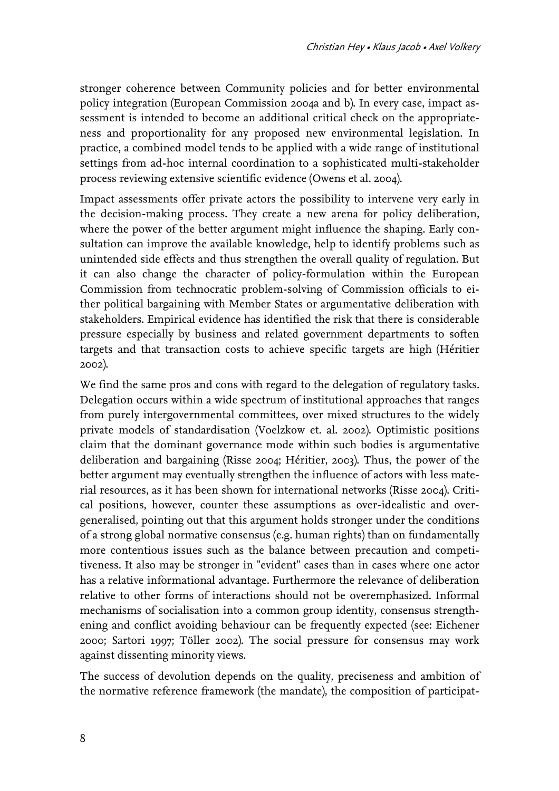stronger coherence between Community policies and for better environmental policy integration (European Commission 2004a and b). In every case, impact assessment is intended to become an additional critical check on the appropriateness and proportionality for any proposed new environmental legislation. In practice, a combined model tends to be applied with a wide range of institutional settings from ad-hoc internal coordination to a sophisticated multi-stakeholder process reviewing extensive scientific evidence (Owens et al. 2004).

Impact assessments offer private actors the possibility to intervene very early in the decision-making process. They create a new arena for policy deliberation, where the power of the better argument might influence the shaping. Early consultation can improve the available knowledge, help to identify problems such as unintended side effects and thus strengthen the overall quality of regulation. But it can also change the character of policy-formulation within the European Commission from technocratic problem-solving of Commission officials to either political bargaining with Member States or argumentative deliberation with stakeholders. Empirical evidence has identified the risk that there is considerable pressure especially by business and related government departments to soften targets and that transaction costs to achieve specific targets are high (Héritier 2002).

We find the same pros and cons with regard to the delegation of regulatory tasks. Delegation occurs within a wide spectrum of institutional approaches that ranges from purely intergovernmental committees, over mixed structures to the widely private models of standardisation (Voelzkow et. al. 2002). Optimistic positions claim that the dominant governance mode within such bodies is argumentative deliberation and bargaining (Risse 2004; Héritier, 2003). Thus, the power of the better argument may eventually strengthen the influence of actors with less material resources, as it has been shown for international networks (Risse 2004). Critical positions, however, counter these assumptions as over-idealistic and overgeneralised, pointing out that this argument holds stronger under the conditions of a strong global normative consensus (e.g. human rights) than on fundamentally more contentious issues such as the balance between precaution and competitiveness. It also may be stronger in "evident" cases than in cases where one actor has a relative informational advantage. Furthermore the relevance of deliberation relative to other forms of interactions should not be overemphasized. Informal mechanisms of socialisation into a common group identity, consensus strengthening and conflict avoiding behaviour can be frequently expected (see: Eichener 2000; Sartori 1997; Töller 2002). The social pressure for consensus may work against dissenting minority views.

The success of devolution depends on the quality, preciseness and ambition of the normative reference framework (the mandate), the composition of participat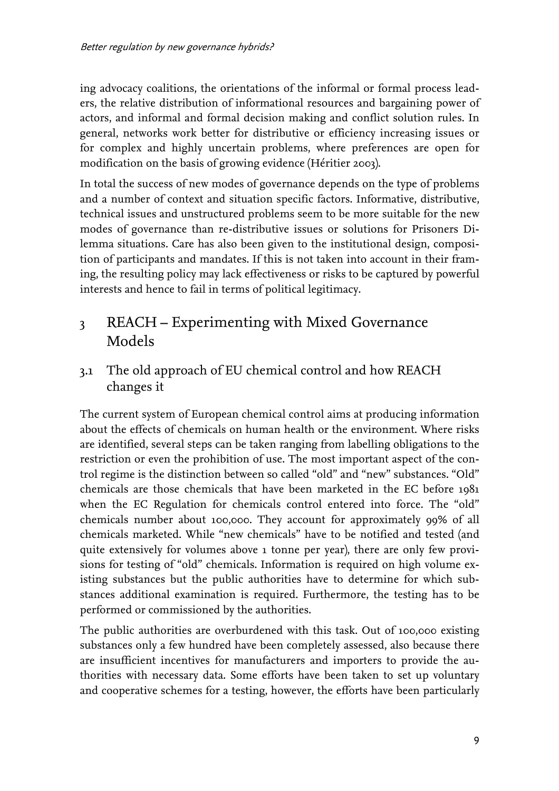ing advocacy coalitions, the orientations of the informal or formal process leaders, the relative distribution of informational resources and bargaining power of actors, and informal and formal decision making and conflict solution rules. In general, networks work better for distributive or efficiency increasing issues or for complex and highly uncertain problems, where preferences are open for modification on the basis of growing evidence (Héritier 2003).

In total the success of new modes of governance depends on the type of problems and a number of context and situation specific factors. Informative, distributive, technical issues and unstructured problems seem to be more suitable for the new modes of governance than re-distributive issues or solutions for Prisoners Dilemma situations. Care has also been given to the institutional design, composition of participants and mandates. If this is not taken into account in their framing, the resulting policy may lack effectiveness or risks to be captured by powerful interests and hence to fail in terms of political legitimacy.

# <span id="page-12-0"></span>3 REACH – Experimenting with Mixed Governance Models

<span id="page-12-1"></span>3.1 The old approach of EU chemical control and how REACH changes it

The current system of European chemical control aims at producing information about the effects of chemicals on human health or the environment. Where risks are identified, several steps can be taken ranging from labelling obligations to the restriction or even the prohibition of use. The most important aspect of the control regime is the distinction between so called "old" and "new" substances. "Old" chemicals are those chemicals that have been marketed in the EC before 1981 when the EC Regulation for chemicals control entered into force. The "old" chemicals number about 100,000. They account for approximately 99% of all chemicals marketed. While "new chemicals" have to be notified and tested (and quite extensively for volumes above 1 tonne per year), there are only few provisions for testing of "old" chemicals. Information is required on high volume existing substances but the public authorities have to determine for which substances additional examination is required. Furthermore, the testing has to be performed or commissioned by the authorities.

The public authorities are overburdened with this task. Out of 100,000 existing substances only a few hundred have been completely assessed, also because there are insufficient incentives for manufacturers and importers to provide the authorities with necessary data. Some efforts have been taken to set up voluntary and cooperative schemes for a testing, however, the efforts have been particularly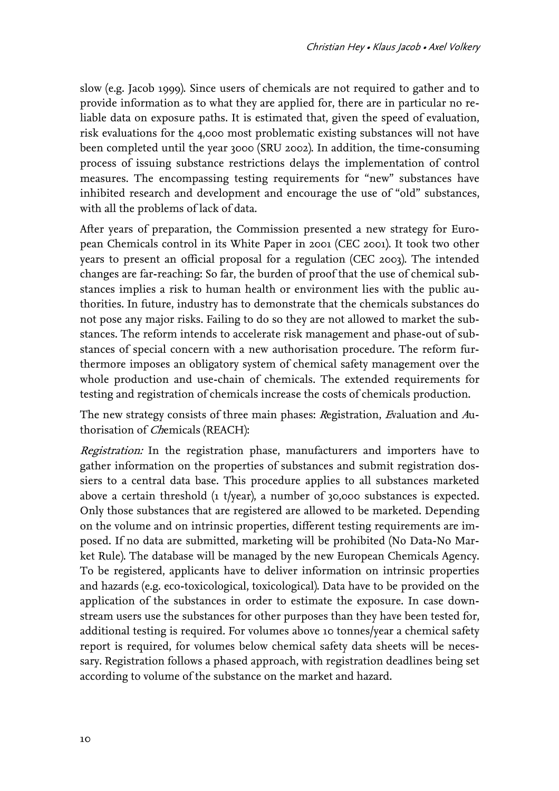slow (e.g. Jacob 1999). Since users of chemicals are not required to gather and to provide information as to what they are applied for, there are in particular no reliable data on exposure paths. It is estimated that, given the speed of evaluation, risk evaluations for the 4,000 most problematic existing substances will not have been completed until the year 3000 (SRU 2002). In addition, the time-consuming process of issuing substance restrictions delays the implementation of control measures. The encompassing testing requirements for "new" substances have inhibited research and development and encourage the use of "old" substances, with all the problems of lack of data.

After years of preparation, the Commission presented a new strategy for European Chemicals control in its White Paper in 2001 (CEC 2001). It took two other years to present an official proposal for a regulation (CEC 2003). The intended changes are far-reaching: So far, the burden of proof that the use of chemical substances implies a risk to human health or environment lies with the public authorities. In future, industry has to demonstrate that the chemicals substances do not pose any major risks. Failing to do so they are not allowed to market the substances. The reform intends to accelerate risk management and phase-out of substances of special concern with a new authorisation procedure. The reform furthermore imposes an obligatory system of chemical safety management over the whole production and use-chain of chemicals. The extended requirements for testing and registration of chemicals increase the costs of chemicals production.

The new strategy consists of three main phases: Registration, Evaluation and Authorisation of Chemicals (REACH):

Registration: In the registration phase, manufacturers and importers have to gather information on the properties of substances and submit registration dossiers to a central data base. This procedure applies to all substances marketed above a certain threshold (1 t/year), a number of 30,000 substances is expected. Only those substances that are registered are allowed to be marketed. Depending on the volume and on intrinsic properties, different testing requirements are imposed. If no data are submitted, marketing will be prohibited (No Data-No Market Rule). The database will be managed by the new European Chemicals Agency. To be registered, applicants have to deliver information on intrinsic properties and hazards (e.g. eco-toxicological, toxicological). Data have to be provided on the application of the substances in order to estimate the exposure. In case downstream users use the substances for other purposes than they have been tested for, additional testing is required. For volumes above 10 tonnes/year a chemical safety report is required, for volumes below chemical safety data sheets will be necessary. Registration follows a phased approach, with registration deadlines being set according to volume of the substance on the market and hazard.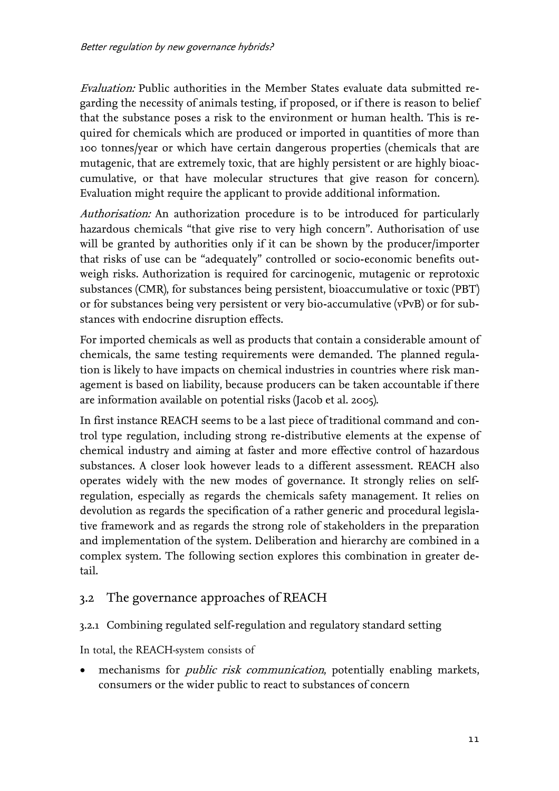Evaluation: Public authorities in the Member States evaluate data submitted regarding the necessity of animals testing, if proposed, or if there is reason to belief that the substance poses a risk to the environment or human health. This is required for chemicals which are produced or imported in quantities of more than 100 tonnes/year or which have certain dangerous properties (chemicals that are mutagenic, that are extremely toxic, that are highly persistent or are highly bioaccumulative, or that have molecular structures that give reason for concern). Evaluation might require the applicant to provide additional information.

Authorisation: An authorization procedure is to be introduced for particularly hazardous chemicals "that give rise to very high concern". Authorisation of use will be granted by authorities only if it can be shown by the producer/importer that risks of use can be "adequately" controlled or socio-economic benefits outweigh risks. Authorization is required for carcinogenic, mutagenic or reprotoxic substances (CMR), for substances being persistent, bioaccumulative or toxic (PBT) or for substances being very persistent or very bio-accumulative (vPvB) or for substances with endocrine disruption effects.

For imported chemicals as well as products that contain a considerable amount of chemicals, the same testing requirements were demanded. The planned regulation is likely to have impacts on chemical industries in countries where risk management is based on liability, because producers can be taken accountable if there are information available on potential risks (Jacob et al. 2005).

In first instance REACH seems to be a last piece of traditional command and control type regulation, including strong re-distributive elements at the expense of chemical industry and aiming at faster and more effective control of hazardous substances. A closer look however leads to a different assessment. REACH also operates widely with the new modes of governance. It strongly relies on selfregulation, especially as regards the chemicals safety management. It relies on devolution as regards the specification of a rather generic and procedural legislative framework and as regards the strong role of stakeholders in the preparation and implementation of the system. Deliberation and hierarchy are combined in a complex system. The following section explores this combination in greater detail.

#### <span id="page-14-0"></span>3.2 The governance approaches of REACH

#### <span id="page-14-1"></span>3.2.1 Combining regulated self-regulation and regulatory standard setting

In total, the REACH-system consists of

mechanisms for *public risk communication*, potentially enabling markets, consumers or the wider public to react to substances of concern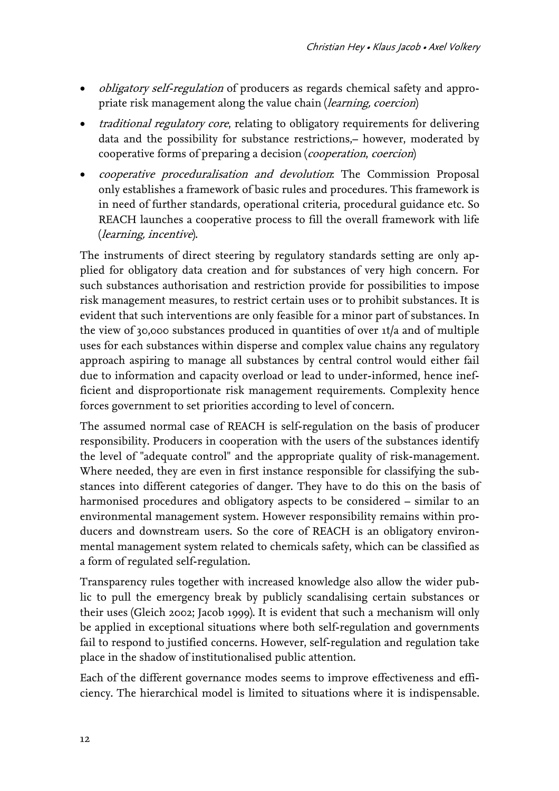- obligatory self-regulation of producers as regards chemical safety and appropriate risk management along the value chain (learning, coercion)
- traditional regulatory core, relating to obligatory requirements for delivering data and the possibility for substance restrictions,– however, moderated by cooperative forms of preparing a decision (cooperation, coercion)
- cooperative proceduralisation and devolution: The Commission Proposal only establishes a framework of basic rules and procedures. This framework is in need of further standards, operational criteria, procedural guidance etc. So REACH launches a cooperative process to fill the overall framework with life (learning, incentive).

The instruments of direct steering by regulatory standards setting are only applied for obligatory data creation and for substances of very high concern. For such substances authorisation and restriction provide for possibilities to impose risk management measures, to restrict certain uses or to prohibit substances. It is evident that such interventions are only feasible for a minor part of substances. In the view of 30,000 substances produced in quantities of over 1t/a and of multiple uses for each substances within disperse and complex value chains any regulatory approach aspiring to manage all substances by central control would either fail due to information and capacity overload or lead to under-informed, hence inefficient and disproportionate risk management requirements. Complexity hence forces government to set priorities according to level of concern.

The assumed normal case of REACH is self-regulation on the basis of producer responsibility. Producers in cooperation with the users of the substances identify the level of "adequate control" and the appropriate quality of risk-management. Where needed, they are even in first instance responsible for classifying the substances into different categories of danger. They have to do this on the basis of harmonised procedures and obligatory aspects to be considered – similar to an environmental management system. However responsibility remains within producers and downstream users. So the core of REACH is an obligatory environmental management system related to chemicals safety, which can be classified as a form of regulated self-regulation.

Transparency rules together with increased knowledge also allow the wider public to pull the emergency break by publicly scandalising certain substances or their uses (Gleich 2002; Jacob 1999). It is evident that such a mechanism will only be applied in exceptional situations where both self-regulation and governments fail to respond to justified concerns. However, self-regulation and regulation take place in the shadow of institutionalised public attention.

Each of the different governance modes seems to improve effectiveness and efficiency. The hierarchical model is limited to situations where it is indispensable.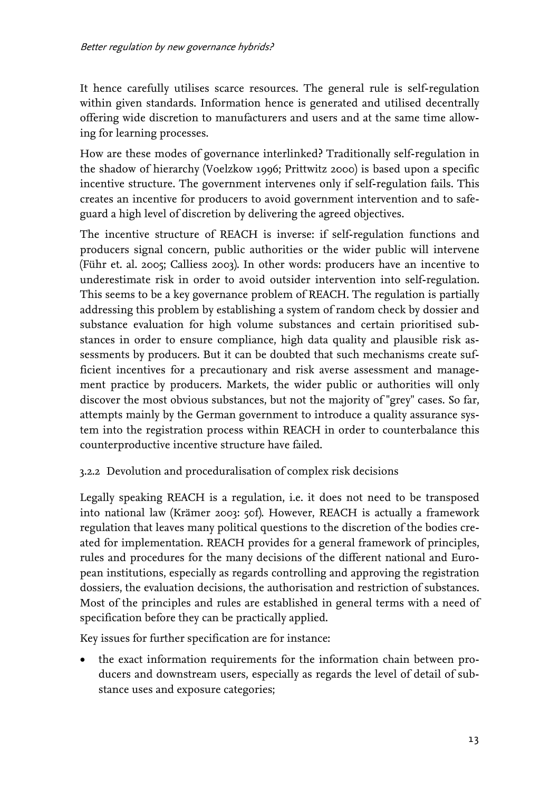It hence carefully utilises scarce resources. The general rule is self-regulation within given standards. Information hence is generated and utilised decentrally offering wide discretion to manufacturers and users and at the same time allowing for learning processes.

How are these modes of governance interlinked? Traditionally self-regulation in the shadow of hierarchy (Voelzkow 1996; Prittwitz 2000) is based upon a specific incentive structure. The government intervenes only if self-regulation fails. This creates an incentive for producers to avoid government intervention and to safeguard a high level of discretion by delivering the agreed objectives.

The incentive structure of REACH is inverse: if self-regulation functions and producers signal concern, public authorities or the wider public will intervene (Führ et. al. 2005; Calliess 2003). In other words: producers have an incentive to underestimate risk in order to avoid outsider intervention into self-regulation. This seems to be a key governance problem of REACH. The regulation is partially addressing this problem by establishing a system of random check by dossier and substance evaluation for high volume substances and certain prioritised substances in order to ensure compliance, high data quality and plausible risk assessments by producers. But it can be doubted that such mechanisms create sufficient incentives for a precautionary and risk averse assessment and management practice by producers. Markets, the wider public or authorities will only discover the most obvious substances, but not the majority of "grey" cases. So far, attempts mainly by the German government to introduce a quality assurance system into the registration process within REACH in order to counterbalance this counterproductive incentive structure have failed.

#### <span id="page-16-0"></span>3.2.2 Devolution and proceduralisation of complex risk decisions

Legally speaking REACH is a regulation, i.e. it does not need to be transposed into national law (Krämer 2003: 50f). However, REACH is actually a framework regulation that leaves many political questions to the discretion of the bodies created for implementation. REACH provides for a general framework of principles, rules and procedures for the many decisions of the different national and European institutions, especially as regards controlling and approving the registration dossiers, the evaluation decisions, the authorisation and restriction of substances. Most of the principles and rules are established in general terms with a need of specification before they can be practically applied.

Key issues for further specification are for instance:

• the exact information requirements for the information chain between producers and downstream users, especially as regards the level of detail of substance uses and exposure categories;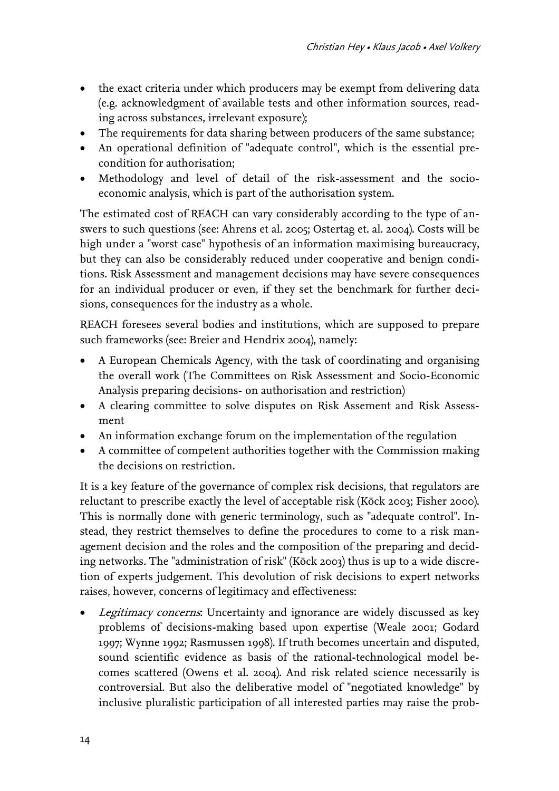- the exact criteria under which producers may be exempt from delivering data (e.g. acknowledgment of available tests and other information sources, reading across substances, irrelevant exposure);
- The requirements for data sharing between producers of the same substance;
- An operational definition of "adequate control", which is the essential precondition for authorisation;
- Methodology and level of detail of the risk-assessment and the socioeconomic analysis, which is part of the authorisation system.

The estimated cost of REACH can vary considerably according to the type of answers to such questions (see: Ahrens et al. 2005; Ostertag et. al. 2004). Costs will be high under a "worst case" hypothesis of an information maximising bureaucracy, but they can also be considerably reduced under cooperative and benign conditions. Risk Assessment and management decisions may have severe consequences for an individual producer or even, if they set the benchmark for further decisions, consequences for the industry as a whole.

REACH foresees several bodies and institutions, which are supposed to prepare such frameworks (see: Breier and Hendrix 2004), namely:

- A European Chemicals Agency, with the task of coordinating and organising the overall work (The Committees on Risk Assessment and Socio-Economic Analysis preparing decisions- on authorisation and restriction)
- A clearing committee to solve disputes on Risk Assement and Risk Assessment
- An information exchange forum on the implementation of the regulation
- A committee of competent authorities together with the Commission making the decisions on restriction.

It is a key feature of the governance of complex risk decisions, that regulators are reluctant to prescribe exactly the level of acceptable risk (Köck 2003; Fisher 2000). This is normally done with generic terminology, such as "adequate control". Instead, they restrict themselves to define the procedures to come to a risk management decision and the roles and the composition of the preparing and deciding networks. The "administration of risk" (Köck 2003) thus is up to a wide discretion of experts judgement. This devolution of risk decisions to expert networks raises, however, concerns of legitimacy and effectiveness:

Legitimacy concerns. Uncertainty and ignorance are widely discussed as key problems of decisions-making based upon expertise (Weale 2001; Godard 1997; Wynne 1992; Rasmussen 1998). If truth becomes uncertain and disputed, sound scientific evidence as basis of the rational-technological model becomes scattered (Owens et al. 2004). And risk related science necessarily is controversial. But also the deliberative model of "negotiated knowledge" by inclusive pluralistic participation of all interested parties may raise the prob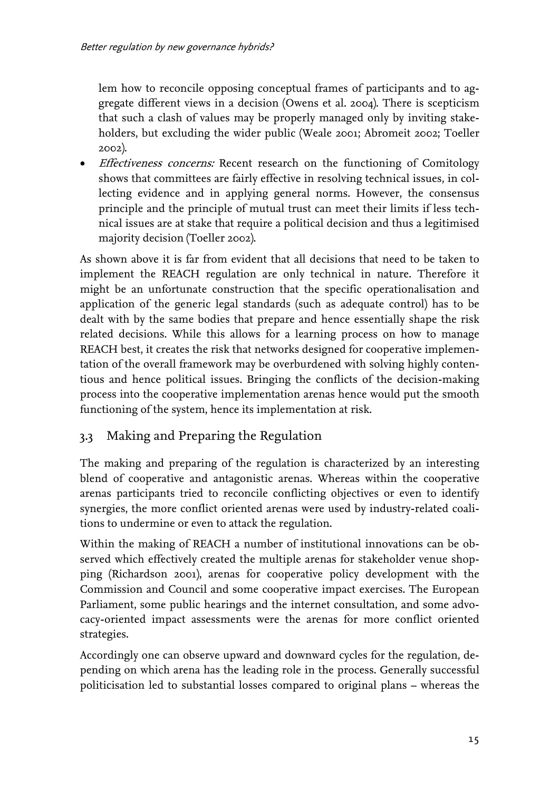lem how to reconcile opposing conceptual frames of participants and to aggregate different views in a decision (Owens et al. 2004). There is scepticism that such a clash of values may be properly managed only by inviting stakeholders, but excluding the wider public (Weale 2001; Abromeit 2002; Toeller 2002).

• *Effectiveness concerns:* Recent research on the functioning of Comitology shows that committees are fairly effective in resolving technical issues, in collecting evidence and in applying general norms. However, the consensus principle and the principle of mutual trust can meet their limits if less technical issues are at stake that require a political decision and thus a legitimised majority decision (Toeller 2002).

As shown above it is far from evident that all decisions that need to be taken to implement the REACH regulation are only technical in nature. Therefore it might be an unfortunate construction that the specific operationalisation and application of the generic legal standards (such as adequate control) has to be dealt with by the same bodies that prepare and hence essentially shape the risk related decisions. While this allows for a learning process on how to manage REACH best, it creates the risk that networks designed for cooperative implementation of the overall framework may be overburdened with solving highly contentious and hence political issues. Bringing the conflicts of the decision-making process into the cooperative implementation arenas hence would put the smooth functioning of the system, hence its implementation at risk.

### <span id="page-18-0"></span>3.3 Making and Preparing the Regulation

The making and preparing of the regulation is characterized by an interesting blend of cooperative and antagonistic arenas. Whereas within the cooperative arenas participants tried to reconcile conflicting objectives or even to identify synergies, the more conflict oriented arenas were used by industry-related coalitions to undermine or even to attack the regulation.

Within the making of REACH a number of institutional innovations can be observed which effectively created the multiple arenas for stakeholder venue shopping (Richardson 2001), arenas for cooperative policy development with the Commission and Council and some cooperative impact exercises. The European Parliament, some public hearings and the internet consultation, and some advocacy-oriented impact assessments were the arenas for more conflict oriented strategies.

Accordingly one can observe upward and downward cycles for the regulation, depending on which arena has the leading role in the process. Generally successful politicisation led to substantial losses compared to original plans – whereas the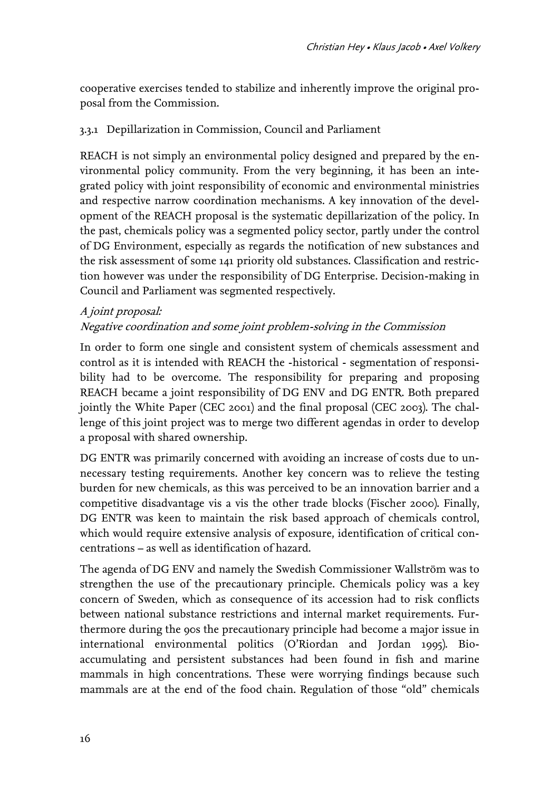cooperative exercises tended to stabilize and inherently improve the original proposal from the Commission.

#### <span id="page-19-0"></span>3.3.1 Depillarization in Commission, Council and Parliament

REACH is not simply an environmental policy designed and prepared by the environmental policy community. From the very beginning, it has been an integrated policy with joint responsibility of economic and environmental ministries and respective narrow coordination mechanisms. A key innovation of the development of the REACH proposal is the systematic depillarization of the policy. In the past, chemicals policy was a segmented policy sector, partly under the control of DG Environment, especially as regards the notification of new substances and the risk assessment of some 141 priority old substances. Classification and restriction however was under the responsibility of DG Enterprise. Decision-making in Council and Parliament was segmented respectively.

#### A joint proposal:

#### Negative coordination and some joint problem-solving in the Commission

In order to form one single and consistent system of chemicals assessment and control as it is intended with REACH the -historical - segmentation of responsibility had to be overcome. The responsibility for preparing and proposing REACH became a joint responsibility of DG ENV and DG ENTR. Both prepared jointly the White Paper (CEC 2001) and the final proposal (CEC 2003). The challenge of this joint project was to merge two different agendas in order to develop a proposal with shared ownership.

DG ENTR was primarily concerned with avoiding an increase of costs due to unnecessary testing requirements. Another key concern was to relieve the testing burden for new chemicals, as this was perceived to be an innovation barrier and a competitive disadvantage vis a vis the other trade blocks (Fischer 2000). Finally, DG ENTR was keen to maintain the risk based approach of chemicals control, which would require extensive analysis of exposure, identification of critical concentrations – as well as identification of hazard.

The agenda of DG ENV and namely the Swedish Commissioner Wallström was to strengthen the use of the precautionary principle. Chemicals policy was a key concern of Sweden, which as consequence of its accession had to risk conflicts between national substance restrictions and internal market requirements. Furthermore during the 90s the precautionary principle had become a major issue in international environmental politics (O'Riordan and Jordan 1995). Bioaccumulating and persistent substances had been found in fish and marine mammals in high concentrations. These were worrying findings because such mammals are at the end of the food chain. Regulation of those "old" chemicals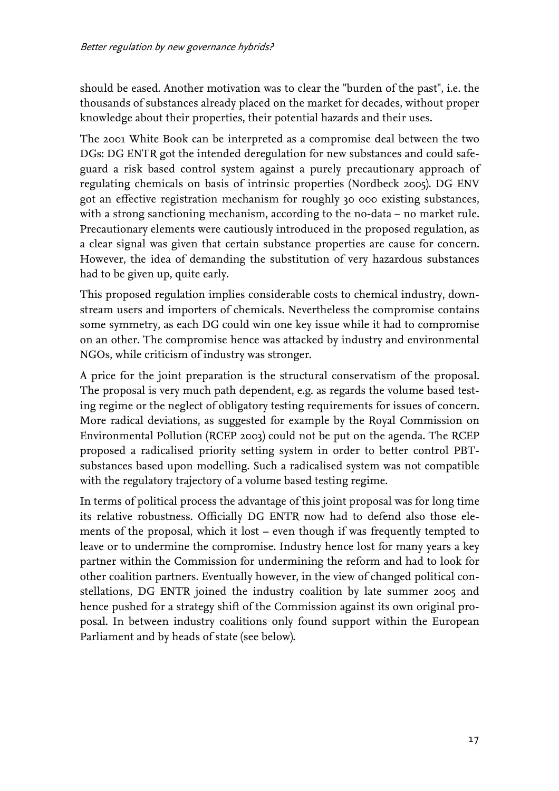should be eased. Another motivation was to clear the "burden of the past", i.e. the thousands of substances already placed on the market for decades, without proper knowledge about their properties, their potential hazards and their uses.

The 2001 White Book can be interpreted as a compromise deal between the two DGs: DG ENTR got the intended deregulation for new substances and could safeguard a risk based control system against a purely precautionary approach of regulating chemicals on basis of intrinsic properties (Nordbeck 2005). DG ENV got an effective registration mechanism for roughly 30 000 existing substances, with a strong sanctioning mechanism, according to the no-data – no market rule. Precautionary elements were cautiously introduced in the proposed regulation, as a clear signal was given that certain substance properties are cause for concern. However, the idea of demanding the substitution of very hazardous substances had to be given up, quite early.

This proposed regulation implies considerable costs to chemical industry, downstream users and importers of chemicals. Nevertheless the compromise contains some symmetry, as each DG could win one key issue while it had to compromise on an other. The compromise hence was attacked by industry and environmental NGOs, while criticism of industry was stronger.

A price for the joint preparation is the structural conservatism of the proposal. The proposal is very much path dependent, e.g. as regards the volume based testing regime or the neglect of obligatory testing requirements for issues of concern. More radical deviations, as suggested for example by the Royal Commission on Environmental Pollution (RCEP 2003) could not be put on the agenda. The RCEP proposed a radicalised priority setting system in order to better control PBTsubstances based upon modelling. Such a radicalised system was not compatible with the regulatory trajectory of a volume based testing regime.

In terms of political process the advantage of this joint proposal was for long time its relative robustness. Officially DG ENTR now had to defend also those elements of the proposal, which it lost – even though if was frequently tempted to leave or to undermine the compromise. Industry hence lost for many years a key partner within the Commission for undermining the reform and had to look for other coalition partners. Eventually however, in the view of changed political constellations, DG ENTR joined the industry coalition by late summer 2005 and hence pushed for a strategy shift of the Commission against its own original proposal. In between industry coalitions only found support within the European Parliament and by heads of state (see below).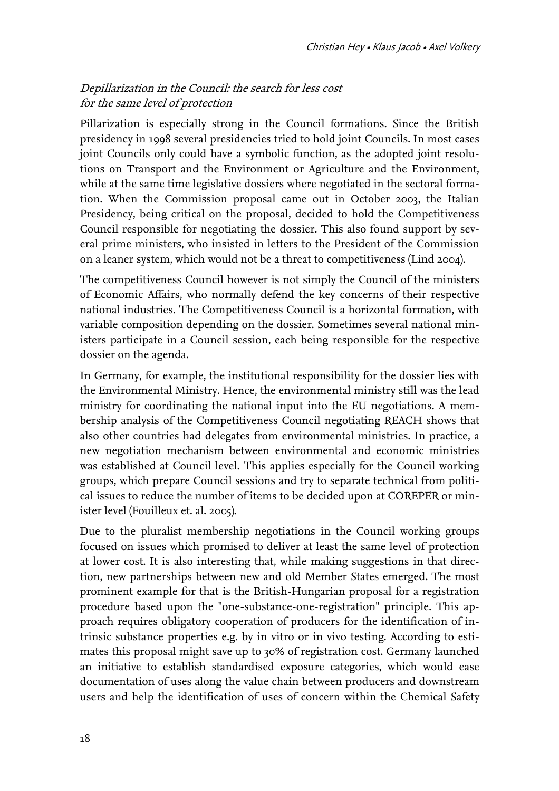#### Depillarization in the Council: the search for less cost for the same level of protection

Pillarization is especially strong in the Council formations. Since the British presidency in 1998 several presidencies tried to hold joint Councils. In most cases joint Councils only could have a symbolic function, as the adopted joint resolutions on Transport and the Environment or Agriculture and the Environment, while at the same time legislative dossiers where negotiated in the sectoral formation. When the Commission proposal came out in October 2003, the Italian Presidency, being critical on the proposal, decided to hold the Competitiveness Council responsible for negotiating the dossier. This also found support by several prime ministers, who insisted in letters to the President of the Commission on a leaner system, which would not be a threat to competitiveness (Lind 2004).

The competitiveness Council however is not simply the Council of the ministers of Economic Affairs, who normally defend the key concerns of their respective national industries. The Competitiveness Council is a horizontal formation, with variable composition depending on the dossier. Sometimes several national ministers participate in a Council session, each being responsible for the respective dossier on the agenda.

In Germany, for example, the institutional responsibility for the dossier lies with the Environmental Ministry. Hence, the environmental ministry still was the lead ministry for coordinating the national input into the EU negotiations. A membership analysis of the Competitiveness Council negotiating REACH shows that also other countries had delegates from environmental ministries. In practice, a new negotiation mechanism between environmental and economic ministries was established at Council level. This applies especially for the Council working groups, which prepare Council sessions and try to separate technical from political issues to reduce the number of items to be decided upon at COREPER or minister level (Fouilleux et. al. 2005).

Due to the pluralist membership negotiations in the Council working groups focused on issues which promised to deliver at least the same level of protection at lower cost. It is also interesting that, while making suggestions in that direction, new partnerships between new and old Member States emerged. The most prominent example for that is the British-Hungarian proposal for a registration procedure based upon the "one-substance-one-registration" principle. This approach requires obligatory cooperation of producers for the identification of intrinsic substance properties e.g. by in vitro or in vivo testing. According to estimates this proposal might save up to 30% of registration cost. Germany launched an initiative to establish standardised exposure categories, which would ease documentation of uses along the value chain between producers and downstream users and help the identification of uses of concern within the Chemical Safety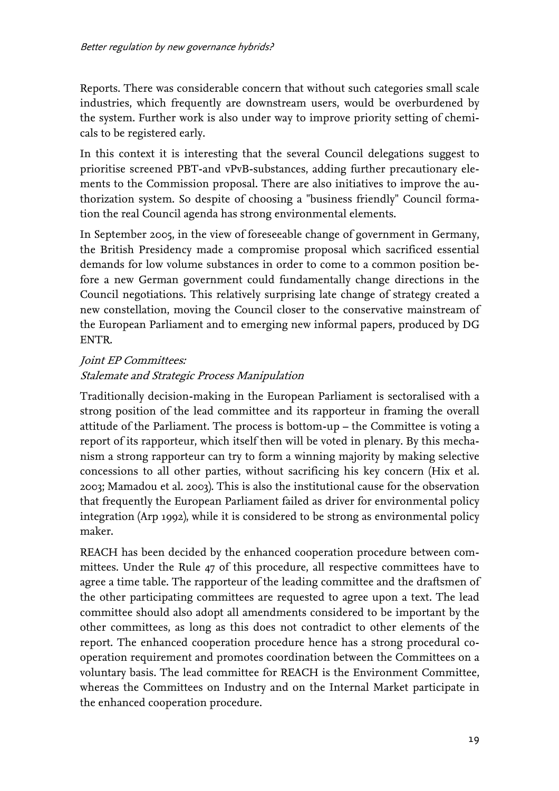Reports. There was considerable concern that without such categories small scale industries, which frequently are downstream users, would be overburdened by the system. Further work is also under way to improve priority setting of chemicals to be registered early.

In this context it is interesting that the several Council delegations suggest to prioritise screened PBT-and vPvB-substances, adding further precautionary elements to the Commission proposal. There are also initiatives to improve the authorization system. So despite of choosing a "business friendly" Council formation the real Council agenda has strong environmental elements.

In September 2005, in the view of foreseeable change of government in Germany, the British Presidency made a compromise proposal which sacrificed essential demands for low volume substances in order to come to a common position before a new German government could fundamentally change directions in the Council negotiations. This relatively surprising late change of strategy created a new constellation, moving the Council closer to the conservative mainstream of the European Parliament and to emerging new informal papers, produced by DG ENTR.

#### Joint EP Committees: Stalemate and Strategic Process Manipulation

Traditionally decision-making in the European Parliament is sectoralised with a strong position of the lead committee and its rapporteur in framing the overall attitude of the Parliament. The process is bottom-up – the Committee is voting a report of its rapporteur, which itself then will be voted in plenary. By this mechanism a strong rapporteur can try to form a winning majority by making selective concessions to all other parties, without sacrificing his key concern (Hix et al. 2003; Mamadou et al. 2003). This is also the institutional cause for the observation that frequently the European Parliament failed as driver for environmental policy integration (Arp 1992), while it is considered to be strong as environmental policy maker.

REACH has been decided by the enhanced cooperation procedure between committees. Under the Rule 47 of this procedure, all respective committees have to agree a time table. The rapporteur of the leading committee and the draftsmen of the other participating committees are requested to agree upon a text. The lead committee should also adopt all amendments considered to be important by the other committees, as long as this does not contradict to other elements of the report. The enhanced cooperation procedure hence has a strong procedural cooperation requirement and promotes coordination between the Committees on a voluntary basis. The lead committee for REACH is the Environment Committee, whereas the Committees on Industry and on the Internal Market participate in the enhanced cooperation procedure.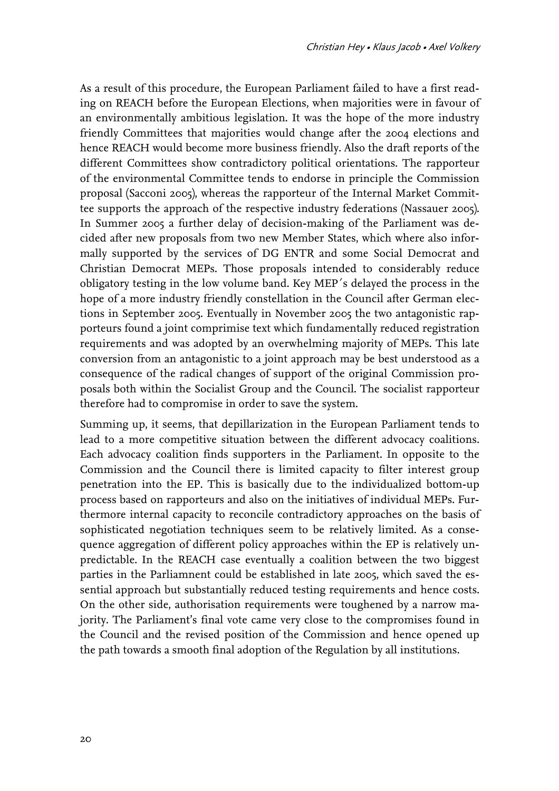As a result of this procedure, the European Parliament failed to have a first reading on REACH before the European Elections, when majorities were in favour of an environmentally ambitious legislation. It was the hope of the more industry friendly Committees that majorities would change after the 2004 elections and hence REACH would become more business friendly. Also the draft reports of the different Committees show contradictory political orientations. The rapporteur of the environmental Committee tends to endorse in principle the Commission proposal (Sacconi 2005), whereas the rapporteur of the Internal Market Committee supports the approach of the respective industry federations (Nassauer 2005). In Summer 2005 a further delay of decision-making of the Parliament was decided after new proposals from two new Member States, which where also informally supported by the services of DG ENTR and some Social Democrat and Christian Democrat MEPs. Those proposals intended to considerably reduce obligatory testing in the low volume band. Key MEP´s delayed the process in the hope of a more industry friendly constellation in the Council after German elections in September 2005. Eventually in November 2005 the two antagonistic rapporteurs found a joint comprimise text which fundamentally reduced registration requirements and was adopted by an overwhelming majority of MEPs. This late conversion from an antagonistic to a joint approach may be best understood as a consequence of the radical changes of support of the original Commission proposals both within the Socialist Group and the Council. The socialist rapporteur therefore had to compromise in order to save the system.

Summing up, it seems, that depillarization in the European Parliament tends to lead to a more competitive situation between the different advocacy coalitions. Each advocacy coalition finds supporters in the Parliament. In opposite to the Commission and the Council there is limited capacity to filter interest group penetration into the EP. This is basically due to the individualized bottom-up process based on rapporteurs and also on the initiatives of individual MEPs. Furthermore internal capacity to reconcile contradictory approaches on the basis of sophisticated negotiation techniques seem to be relatively limited. As a consequence aggregation of different policy approaches within the EP is relatively unpredictable. In the REACH case eventually a coalition between the two biggest parties in the Parliamnent could be established in late 2005, which saved the essential approach but substantially reduced testing requirements and hence costs. On the other side, authorisation requirements were toughened by a narrow majority. The Parliament's final vote came very close to the compromises found in the Council and the revised position of the Commission and hence opened up the path towards a smooth final adoption of the Regulation by all institutions.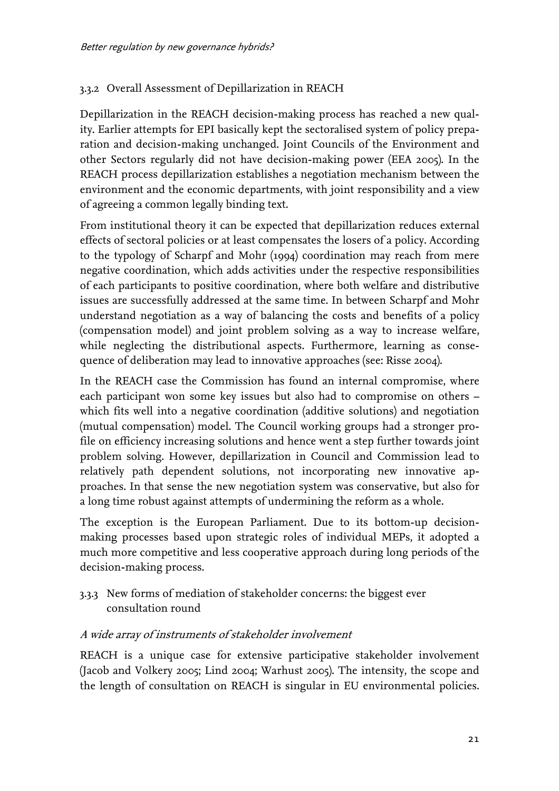#### <span id="page-24-0"></span>3.3.2 Overall Assessment of Depillarization in REACH

Depillarization in the REACH decision-making process has reached a new quality. Earlier attempts for EPI basically kept the sectoralised system of policy preparation and decision-making unchanged. Joint Councils of the Environment and other Sectors regularly did not have decision-making power (EEA 2005). In the REACH process depillarization establishes a negotiation mechanism between the environment and the economic departments, with joint responsibility and a view of agreeing a common legally binding text.

From institutional theory it can be expected that depillarization reduces external effects of sectoral policies or at least compensates the losers of a policy. According to the typology of Scharpf and Mohr (1994) coordination may reach from mere negative coordination, which adds activities under the respective responsibilities of each participants to positive coordination, where both welfare and distributive issues are successfully addressed at the same time. In between Scharpf and Mohr understand negotiation as a way of balancing the costs and benefits of a policy (compensation model) and joint problem solving as a way to increase welfare, while neglecting the distributional aspects. Furthermore, learning as consequence of deliberation may lead to innovative approaches (see: Risse 2004).

In the REACH case the Commission has found an internal compromise, where each participant won some key issues but also had to compromise on others – which fits well into a negative coordination (additive solutions) and negotiation (mutual compensation) model. The Council working groups had a stronger profile on efficiency increasing solutions and hence went a step further towards joint problem solving. However, depillarization in Council and Commission lead to relatively path dependent solutions, not incorporating new innovative approaches. In that sense the new negotiation system was conservative, but also for a long time robust against attempts of undermining the reform as a whole.

The exception is the European Parliament. Due to its bottom-up decisionmaking processes based upon strategic roles of individual MEPs, it adopted a much more competitive and less cooperative approach during long periods of the decision-making process.

<span id="page-24-1"></span>3.3.3 New forms of mediation of stakeholder concerns: the biggest ever consultation round

#### A wide array of instruments of stakeholder involvement

REACH is a unique case for extensive participative stakeholder involvement (Jacob and Volkery 2005; Lind 2004; Warhust 2005). The intensity, the scope and the length of consultation on REACH is singular in EU environmental policies.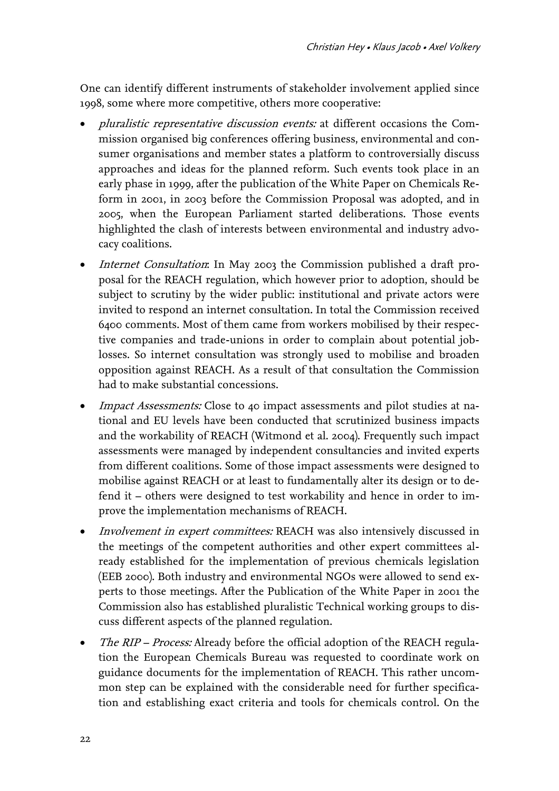One can identify different instruments of stakeholder involvement applied since 1998, some where more competitive, others more cooperative:

- pluralistic representative discussion events: at different occasions the Commission organised big conferences offering business, environmental and consumer organisations and member states a platform to controversially discuss approaches and ideas for the planned reform. Such events took place in an early phase in 1999, after the publication of the White Paper on Chemicals Reform in 2001, in 2003 before the Commission Proposal was adopted, and in 2005, when the European Parliament started deliberations. Those events highlighted the clash of interests between environmental and industry advocacy coalitions.
- Internet Consultation: In May 2003 the Commission published a draft proposal for the REACH regulation, which however prior to adoption, should be subject to scrutiny by the wider public: institutional and private actors were invited to respond an internet consultation. In total the Commission received 6400 comments. Most of them came from workers mobilised by their respective companies and trade-unions in order to complain about potential joblosses. So internet consultation was strongly used to mobilise and broaden opposition against REACH. As a result of that consultation the Commission had to make substantial concessions.
- Impact Assessments: Close to 40 impact assessments and pilot studies at national and EU levels have been conducted that scrutinized business impacts and the workability of REACH (Witmond et al. 2004). Frequently such impact assessments were managed by independent consultancies and invited experts from different coalitions. Some of those impact assessments were designed to mobilise against REACH or at least to fundamentally alter its design or to defend it – others were designed to test workability and hence in order to improve the implementation mechanisms of REACH.
- *Involvement in expert committees:* REACH was also intensively discussed in the meetings of the competent authorities and other expert committees already established for the implementation of previous chemicals legislation (EEB 2000). Both industry and environmental NGOs were allowed to send experts to those meetings. After the Publication of the White Paper in 2001 the Commission also has established pluralistic Technical working groups to discuss different aspects of the planned regulation.
- The RIP Process: Already before the official adoption of the REACH regulation the European Chemicals Bureau was requested to coordinate work on guidance documents for the implementation of REACH. This rather uncommon step can be explained with the considerable need for further specification and establishing exact criteria and tools for chemicals control. On the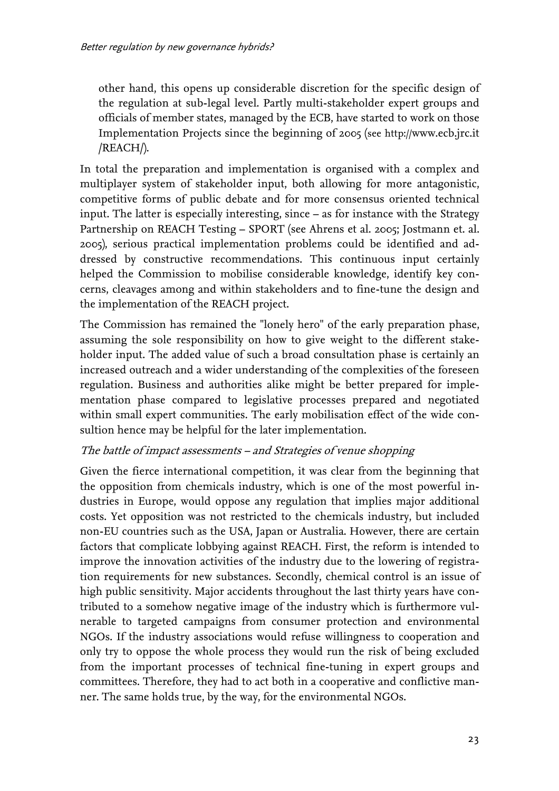other hand, this opens up considerable discretion for the specific design of the regulation at sub-legal level. Partly multi-stakeholder expert groups and officials of member states, managed by the ECB, have started to work on those Implementation Projects since the beginning of 2005 (see http://www.ecb.jrc.it  $/REACH$ ).

In total the preparation and implementation is organised with a complex and multiplayer system of stakeholder input, both allowing for more antagonistic, competitive forms of public debate and for more consensus oriented technical input. The latter is especially interesting, since – as for instance with the Strategy Partnership on REACH Testing – SPORT (see Ahrens et al. 2005; Jostmann et. al. 2005), serious practical implementation problems could be identified and addressed by constructive recommendations. This continuous input certainly helped the Commission to mobilise considerable knowledge, identify key concerns, cleavages among and within stakeholders and to fine-tune the design and the implementation of the REACH project.

The Commission has remained the "lonely hero" of the early preparation phase, assuming the sole responsibility on how to give weight to the different stakeholder input. The added value of such a broad consultation phase is certainly an increased outreach and a wider understanding of the complexities of the foreseen regulation. Business and authorities alike might be better prepared for implementation phase compared to legislative processes prepared and negotiated within small expert communities. The early mobilisation effect of the wide consultion hence may be helpful for the later implementation.

#### The battle of impact assessments – and Strategies of venue shopping

Given the fierce international competition, it was clear from the beginning that the opposition from chemicals industry, which is one of the most powerful industries in Europe, would oppose any regulation that implies major additional costs. Yet opposition was not restricted to the chemicals industry, but included non-EU countries such as the USA, Japan or Australia. However, there are certain factors that complicate lobbying against REACH. First, the reform is intended to improve the innovation activities of the industry due to the lowering of registration requirements for new substances. Secondly, chemical control is an issue of high public sensitivity. Major accidents throughout the last thirty years have contributed to a somehow negative image of the industry which is furthermore vulnerable to targeted campaigns from consumer protection and environmental NGOs. If the industry associations would refuse willingness to cooperation and only try to oppose the whole process they would run the risk of being excluded from the important processes of technical fine-tuning in expert groups and committees. Therefore, they had to act both in a cooperative and conflictive manner. The same holds true, by the way, for the environmental NGOs.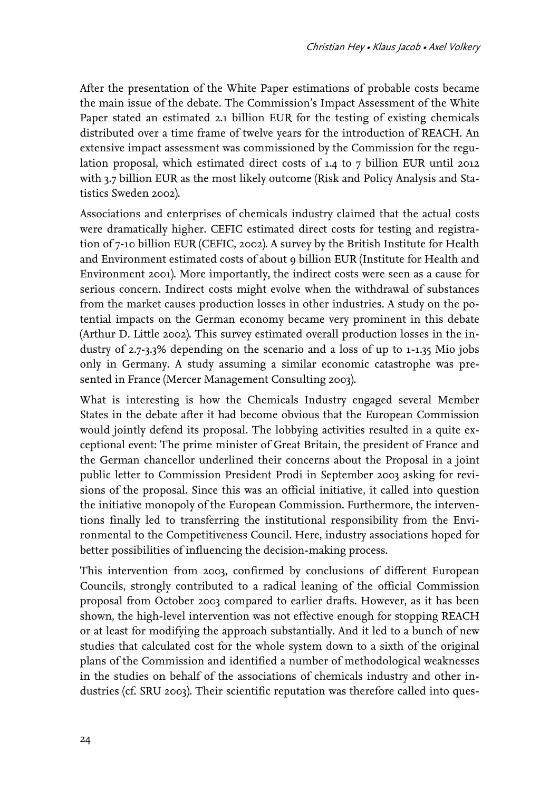After the presentation of the White Paper estimations of probable costs became the main issue of the debate. The Commission's Impact Assessment of the White Paper stated an estimated 2.1 billion EUR for the testing of existing chemicals distributed over a time frame of twelve years for the introduction of REACH. An extensive impact assessment was commissioned by the Commission for the regulation proposal, which estimated direct costs of 1.4 to 7 billion EUR until 2012 with 3.7 billion EUR as the most likely outcome (Risk and Policy Analysis and Statistics Sweden 2002).

Associations and enterprises of chemicals industry claimed that the actual costs were dramatically higher. CEFIC estimated direct costs for testing and registration of 7-10 billion EUR (CEFIC, 2002). A survey by the British Institute for Health and Environment estimated costs of about 9 billion EUR (Institute for Health and Environment 2001). More importantly, the indirect costs were seen as a cause for serious concern. Indirect costs might evolve when the withdrawal of substances from the market causes production losses in other industries. A study on the potential impacts on the German economy became very prominent in this debate (Arthur D. Little 2002). This survey estimated overall production losses in the industry of 2.7-3.3% depending on the scenario and a loss of up to 1-1.35 Mio jobs only in Germany. A study assuming a similar economic catastrophe was presented in France (Mercer Management Consulting 2003).

What is interesting is how the Chemicals Industry engaged several Member States in the debate after it had become obvious that the European Commission would jointly defend its proposal. The lobbying activities resulted in a quite exceptional event: The prime minister of Great Britain, the president of France and the German chancellor underlined their concerns about the Proposal in a joint public letter to Commission President Prodi in September 2003 asking for revisions of the proposal. Since this was an official initiative, it called into question the initiative monopoly of the European Commission. Furthermore, the interventions finally led to transferring the institutional responsibility from the Environmental to the Competitiveness Council. Here, industry associations hoped for better possibilities of influencing the decision-making process.

This intervention from 2003, confirmed by conclusions of different European Councils, strongly contributed to a radical leaning of the official Commission proposal from October 2003 compared to earlier drafts. However, as it has been shown, the high-level intervention was not effective enough for stopping REACH or at least for modifying the approach substantially. And it led to a bunch of new studies that calculated cost for the whole system down to a sixth of the original plans of the Commission and identified a number of methodological weaknesses in the studies on behalf of the associations of chemicals industry and other industries (cf. SRU 2003). Their scientific reputation was therefore called into ques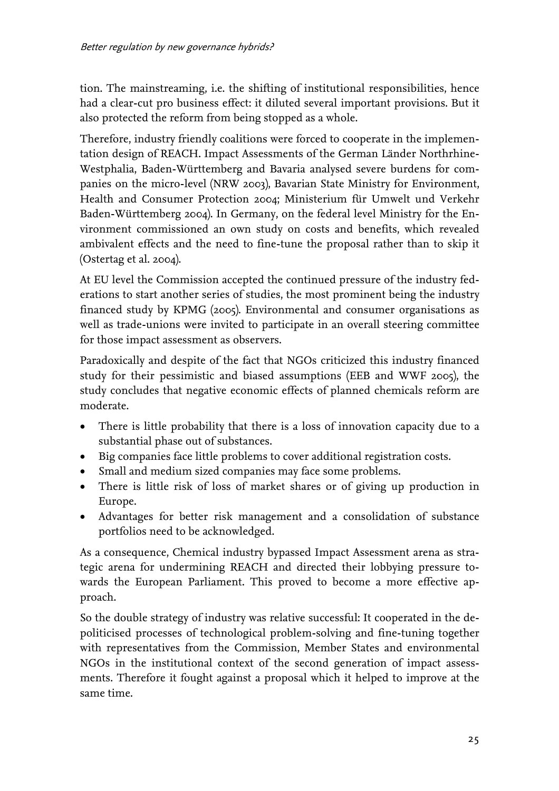tion. The mainstreaming, i.e. the shifting of institutional responsibilities, hence had a clear-cut pro business effect: it diluted several important provisions. But it also protected the reform from being stopped as a whole.

Therefore, industry friendly coalitions were forced to cooperate in the implementation design of REACH. Impact Assessments of the German Länder Northrhine-Westphalia, Baden-Württemberg and Bavaria analysed severe burdens for companies on the micro-level (NRW 2003), Bavarian State Ministry for Environment, Health and Consumer Protection 2004; Ministerium für Umwelt und Verkehr Baden-Württemberg 2004). In Germany, on the federal level Ministry for the Environment commissioned an own study on costs and benefits, which revealed ambivalent effects and the need to fine-tune the proposal rather than to skip it (Ostertag et al. 2004).

At EU level the Commission accepted the continued pressure of the industry federations to start another series of studies, the most prominent being the industry financed study by KPMG (2005). Environmental and consumer organisations as well as trade-unions were invited to participate in an overall steering committee for those impact assessment as observers.

Paradoxically and despite of the fact that NGOs criticized this industry financed study for their pessimistic and biased assumptions (EEB and WWF 2005), the study concludes that negative economic effects of planned chemicals reform are moderate.

- There is little probability that there is a loss of innovation capacity due to a substantial phase out of substances.
- Big companies face little problems to cover additional registration costs.
- Small and medium sized companies may face some problems.
- There is little risk of loss of market shares or of giving up production in Europe.
- Advantages for better risk management and a consolidation of substance portfolios need to be acknowledged.

As a consequence, Chemical industry bypassed Impact Assessment arena as strategic arena for undermining REACH and directed their lobbying pressure towards the European Parliament. This proved to become a more effective approach.

So the double strategy of industry was relative successful: It cooperated in the depoliticised processes of technological problem-solving and fine-tuning together with representatives from the Commission, Member States and environmental NGOs in the institutional context of the second generation of impact assessments. Therefore it fought against a proposal which it helped to improve at the same time.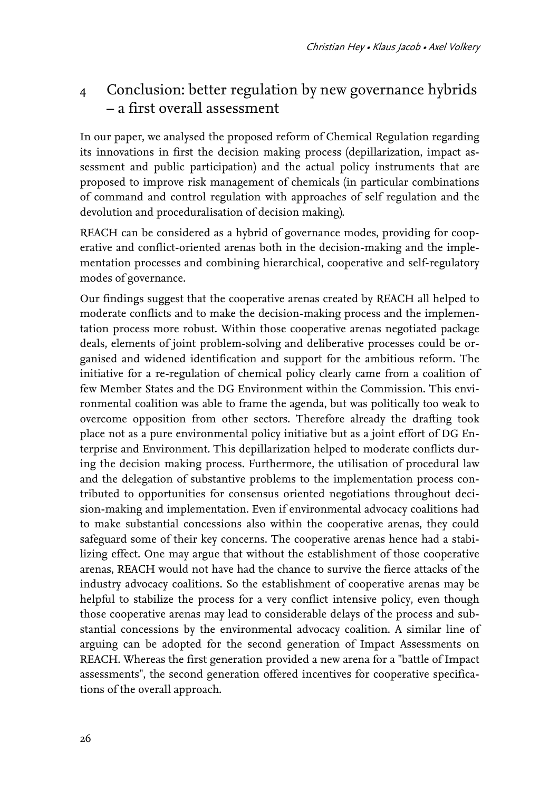# 4 Conclusion: better regulation by new governance hybrids – a first overall assessment

In our paper, we analysed the proposed reform of Chemical Regulation regarding its innovations in first the decision making process (depillarization, impact assessment and public participation) and the actual policy instruments that are proposed to improve risk management of chemicals (in particular combinations of command and control regulation with approaches of self regulation and the devolution and proceduralisation of decision making).

REACH can be considered as a hybrid of governance modes, providing for cooperative and conflict-oriented arenas both in the decision-making and the implementation processes and combining hierarchical, cooperative and self-regulatory modes of governance.

Our findings suggest that the cooperative arenas created by REACH all helped to moderate conflicts and to make the decision-making process and the implementation process more robust. Within those cooperative arenas negotiated package deals, elements of joint problem-solving and deliberative processes could be organised and widened identification and support for the ambitious reform. The initiative for a re-regulation of chemical policy clearly came from a coalition of few Member States and the DG Environment within the Commission. This environmental coalition was able to frame the agenda, but was politically too weak to overcome opposition from other sectors. Therefore already the drafting took place not as a pure environmental policy initiative but as a joint effort of DG Enterprise and Environment. This depillarization helped to moderate conflicts during the decision making process. Furthermore, the utilisation of procedural law and the delegation of substantive problems to the implementation process contributed to opportunities for consensus oriented negotiations throughout decision-making and implementation. Even if environmental advocacy coalitions had to make substantial concessions also within the cooperative arenas, they could safeguard some of their key concerns. The cooperative arenas hence had a stabilizing effect. One may argue that without the establishment of those cooperative arenas, REACH would not have had the chance to survive the fierce attacks of the industry advocacy coalitions. So the establishment of cooperative arenas may be helpful to stabilize the process for a very conflict intensive policy, even though those cooperative arenas may lead to considerable delays of the process and substantial concessions by the environmental advocacy coalition. A similar line of arguing can be adopted for the second generation of Impact Assessments on REACH. Whereas the first generation provided a new arena for a "battle of Impact assessments", the second generation offered incentives for cooperative specifications of the overall approach.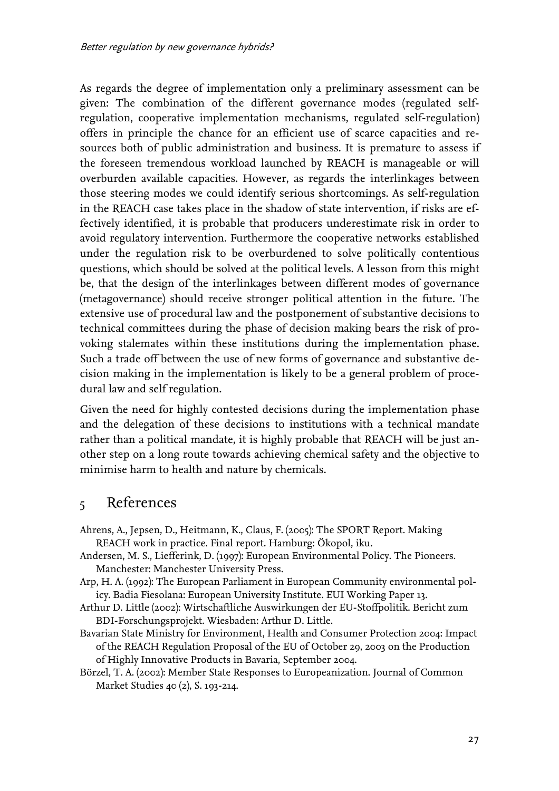As regards the degree of implementation only a preliminary assessment can be given: The combination of the different governance modes (regulated selfregulation, cooperative implementation mechanisms, regulated self-regulation) offers in principle the chance for an efficient use of scarce capacities and resources both of public administration and business. It is premature to assess if the foreseen tremendous workload launched by REACH is manageable or will overburden available capacities. However, as regards the interlinkages between those steering modes we could identify serious shortcomings. As self-regulation in the REACH case takes place in the shadow of state intervention, if risks are effectively identified, it is probable that producers underestimate risk in order to avoid regulatory intervention. Furthermore the cooperative networks established under the regulation risk to be overburdened to solve politically contentious questions, which should be solved at the political levels. A lesson from this might be, that the design of the interlinkages between different modes of governance (metagovernance) should receive stronger political attention in the future. The extensive use of procedural law and the postponement of substantive decisions to technical committees during the phase of decision making bears the risk of provoking stalemates within these institutions during the implementation phase. Such a trade off between the use of new forms of governance and substantive decision making in the implementation is likely to be a general problem of procedural law and self regulation.

Given the need for highly contested decisions during the implementation phase and the delegation of these decisions to institutions with a technical mandate rather than a political mandate, it is highly probable that REACH will be just another step on a long route towards achieving chemical safety and the objective to minimise harm to health and nature by chemicals.

# 5 References

- Ahrens, A., Jepsen, D., Heitmann, K., Claus, F. (2005): The SPORT Report. Making REACH work in practice. Final report. Hamburg: Ökopol, iku.
- Andersen, M. S., Liefferink, D. (1997): European Environmental Policy. The Pioneers. Manchester: Manchester University Press.
- Arp, H. A. (1992): The European Parliament in European Community environmental policy. Badia Fiesolana: European University Institute. EUI Working Paper 13.
- Arthur D. Little (2002): Wirtschaftliche Auswirkungen der EU-Stoffpolitik. Bericht zum BDI-Forschungsprojekt. Wiesbaden: Arthur D. Little.
- Bavarian State Ministry for Environment, Health and Consumer Protection 2004: Impact of the REACH Regulation Proposal of the EU of October 29, 2003 on the Production of Highly Innovative Products in Bavaria, September 2004.
- Börzel, T. A. (2002): Member State Responses to Europeanization. Journal of Common Market Studies 40 (2), S. 193-214.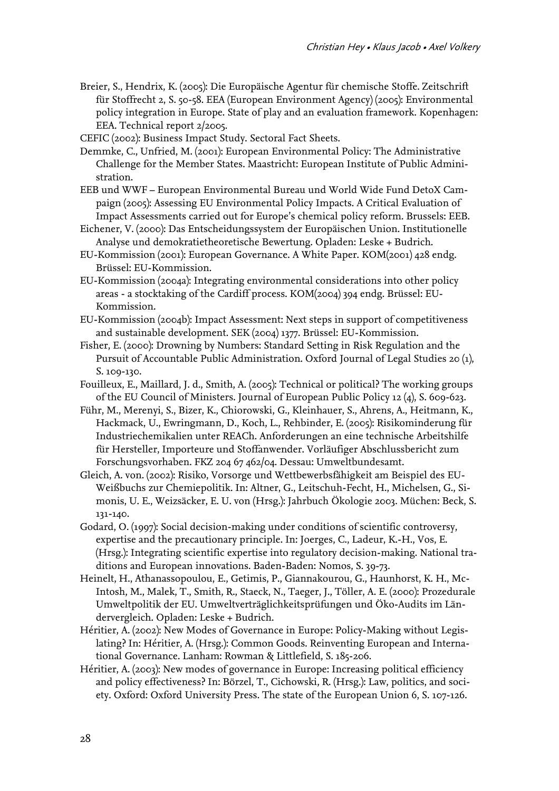- Breier, S., Hendrix, K. (2005): Die Europäische Agentur für chemische Stoffe. Zeitschrift für Stoffrecht 2, S. 50-58. EEA (European Environment Agency) (2005): Environmental policy integration in Europe. State of play and an evaluation framework. Kopenhagen: EEA. Technical report 2/2005.
- CEFIC (2002): Business Impact Study. Sectoral Fact Sheets.
- Demmke, C., Unfried, M. (2001): European Environmental Policy: The Administrative Challenge for the Member States. Maastricht: European Institute of Public Administration.
- EEB und WWF European Environmental Bureau und World Wide Fund DetoX Campaign (2005): Assessing EU Environmental Policy Impacts. A Critical Evaluation of Impact Assessments carried out for Europe's chemical policy reform. Brussels: EEB.
- Eichener, V. (2000): Das Entscheidungssystem der Europäischen Union. Institutionelle Analyse und demokratietheoretische Bewertung. Opladen: Leske + Budrich.
- EU-Kommission (2001): European Governance. A White Paper. KOM(2001) 428 endg. Brüssel: EU-Kommission.
- EU-Kommission (2004a): Integrating environmental considerations into other policy areas - a stocktaking of the Cardiff process. KOM(2004) 394 endg. Brüssel: EU-Kommission.
- EU-Kommission (2004b): Impact Assessment: Next steps in support of competitiveness and sustainable development. SEK (2004) 1377. Brüssel: EU-Kommission.
- Fisher, E. (2000): Drowning by Numbers: Standard Setting in Risk Regulation and the Pursuit of Accountable Public Administration. Oxford Journal of Legal Studies 20 (1), S. 109-130.
- Fouilleux, E., Maillard, J. d., Smith, A. (2005): Technical or political? The working groups of the EU Council of Ministers. Journal of European Public Policy 12 (4), S. 609-623.
- Führ, M., Merenyi, S., Bizer, K., Chiorowski, G., Kleinhauer, S., Ahrens, A., Heitmann, K., Hackmack, U., Ewringmann, D., Koch, L., Rehbinder, E. (2005): Risikominderung für Industriechemikalien unter REACh. Anforderungen an eine technische Arbeitshilfe für Hersteller, Importeure und Stoffanwender. Vorläufiger Abschlussbericht zum Forschungsvorhaben. FKZ 204 67 462/04. Dessau: Umweltbundesamt.
- Gleich, A. von. (2002): Risiko, Vorsorge und Wettbewerbsfähigkeit am Beispiel des EU-Weißbuchs zur Chemiepolitik. In: Altner, G., Leitschuh-Fecht, H., Michelsen, G., Simonis, U. E., Weizsäcker, E. U. von (Hrsg.): Jahrbuch Ökologie 2003. Müchen: Beck, S. 131-140.
- Godard, O. (1997): Social decision-making under conditions of scientific controversy, expertise and the precautionary principle. In: Joerges, C., Ladeur, K.-H., Vos, E. (Hrsg.): Integrating scientific expertise into regulatory decision-making. National traditions and European innovations. Baden-Baden: Nomos, S. 39-73.
- Heinelt, H., Athanassopoulou, E., Getimis, P., Giannakourou, G., Haunhorst, K. H., Mc-Intosh, M., Malek, T., Smith, R., Staeck, N., Taeger, J., Töller, A. E. (2000): Prozedurale Umweltpolitik der EU. Umweltverträglichkeitsprüfungen und Öko-Audits im Ländervergleich. Opladen: Leske + Budrich.
- Héritier, A. (2002): New Modes of Governance in Europe: Policy-Making without Legislating? In: Héritier, A. (Hrsg.): Common Goods. Reinventing European and International Governance. Lanham: Rowman & Littlefield, S. 185-206.
- Héritier, A. (2003): New modes of governance in Europe: Increasing political efficiency and policy effectiveness? In: Börzel, T., Cichowski, R. (Hrsg.): Law, politics, and society. Oxford: Oxford University Press. The state of the European Union 6, S. 107-126.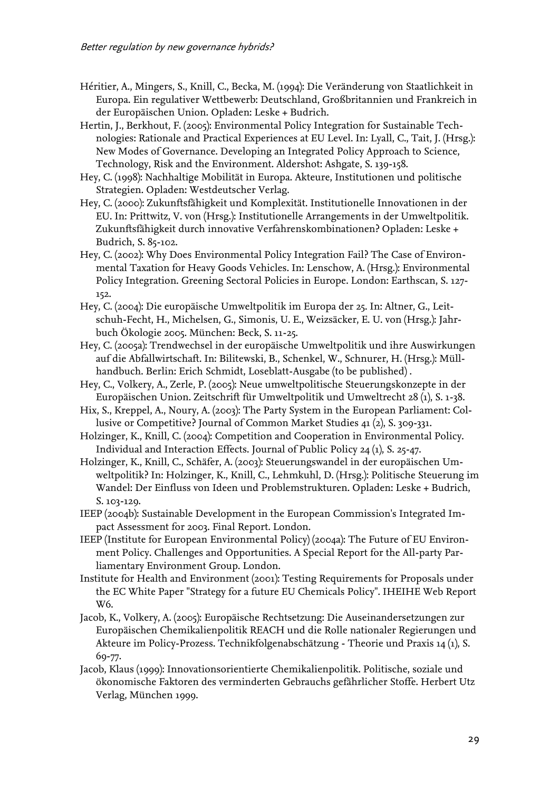Héritier, A., Mingers, S., Knill, C., Becka, M. (1994): Die Veränderung von Staatlichkeit in Europa. Ein regulativer Wettbewerb: Deutschland, Großbritannien und Frankreich in der Europäischen Union. Opladen: Leske + Budrich.

- Hertin, J., Berkhout, F. (2005): Environmental Policy Integration for Sustainable Technologies: Rationale and Practical Experiences at EU Level. In: Lyall, C., Tait, J. (Hrsg.): New Modes of Governance. Developing an Integrated Policy Approach to Science, Technology, Risk and the Environment. Aldershot: Ashgate, S. 139-158.
- Hey, C. (1998): Nachhaltige Mobilität in Europa. Akteure, Institutionen und politische Strategien. Opladen: Westdeutscher Verlag.
- Hey, C. (2000): Zukunftsfähigkeit und Komplexität. Institutionelle Innovationen in der EU. In: Prittwitz, V. von (Hrsg.): Institutionelle Arrangements in der Umweltpolitik. Zukunftsfähigkeit durch innovative Verfahrenskombinationen? Opladen: Leske + Budrich, S. 85-102.
- Hey, C. (2002): Why Does Environmental Policy Integration Fail? The Case of Environmental Taxation for Heavy Goods Vehicles. In: Lenschow, A. (Hrsg.): Environmental Policy Integration. Greening Sectoral Policies in Europe. London: Earthscan, S. 127- 152.
- Hey, C. (2004): Die europäische Umweltpolitik im Europa der 25. In: Altner, G., Leitschuh-Fecht, H., Michelsen, G., Simonis, U. E., Weizsäcker, E. U. von (Hrsg.): Jahrbuch Ökologie 2005. München: Beck, S. 11-25.
- Hey, C. (2005a): Trendwechsel in der europäische Umweltpolitik und ihre Auswirkungen auf die Abfallwirtschaft. In: Bilitewski, B., Schenkel, W., Schnurer, H. (Hrsg.): Müllhandbuch. Berlin: Erich Schmidt, Loseblatt-Ausgabe (to be published) .
- Hey, C., Volkery, A., Zerle, P. (2005): Neue umweltpolitische Steuerungskonzepte in der Europäischen Union. Zeitschrift für Umweltpolitik und Umweltrecht 28 (1), S. 1-38.
- Hix, S., Kreppel, A., Noury, A. (2003): The Party System in the European Parliament: Collusive or Competitive? Journal of Common Market Studies 41 (2), S. 309-331.
- Holzinger, K., Knill, C. (2004): Competition and Cooperation in Environmental Policy. Individual and Interaction Effects. Journal of Public Policy 24 (1), S. 25-47.
- Holzinger, K., Knill, C., Schäfer, A. (2003): Steuerungswandel in der europäischen Umweltpolitik? In: Holzinger, K., Knill, C., Lehmkuhl, D. (Hrsg.): Politische Steuerung im Wandel: Der Einfluss von Ideen und Problemstrukturen. Opladen: Leske + Budrich, S. 103-129.
- IEEP (2004b): Sustainable Development in the European Commission's Integrated Impact Assessment for 2003. Final Report. London.
- IEEP (Institute for European Environmental Policy) (2004a): The Future of EU Environment Policy. Challenges and Opportunities. A Special Report for the All-party Parliamentary Environment Group. London.
- Institute for Health and Environment (2001): Testing Requirements for Proposals under the EC White Paper "Strategy for a future EU Chemicals Policy". IHEIHE Web Report W6.
- Jacob, K., Volkery, A. (2005): Europäische Rechtsetzung: Die Auseinandersetzungen zur Europäischen Chemikalienpolitik REACH und die Rolle nationaler Regierungen und Akteure im Policy-Prozess. Technikfolgenabschätzung - Theorie und Praxis 14 (1), S. 69-77.
- Jacob, Klaus (1999): [Innovationsorientierte Chemikalienpolitik.](http://web.fu-berlin.de/ffu/Publikationen/buch_chemie.htm) Politische, soziale und ökonomische Faktoren des verminderten Gebrauchs gefährlicher Stoffe. Herbert Utz Verlag, München 1999.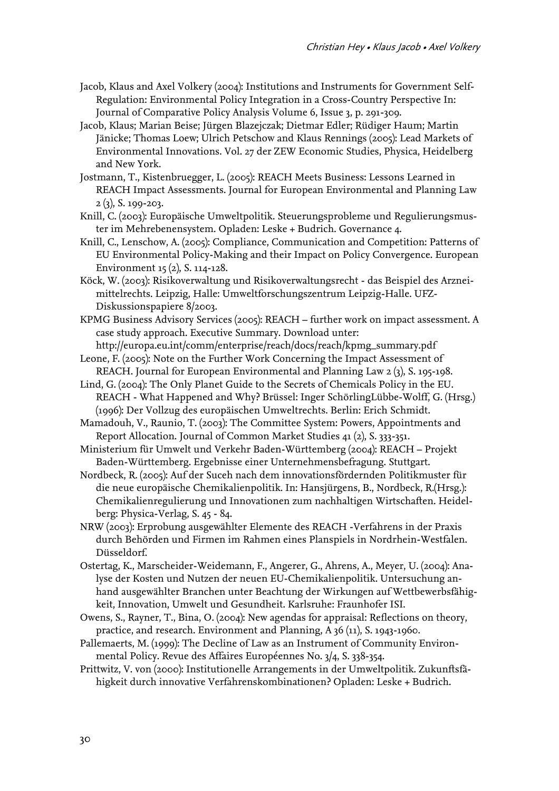- Jacob, Klaus and Axel Volkery (2004): Institutions and Instruments for Government Self-Regulation: Environmental Policy Integration in a Cross-Country Perspective In: Journal of Comparative Policy Analysis Volume 6, Issue 3, p. 291-309.
- Jacob, Klaus; Marian Beise; Jürgen Blazejczak; Dietmar Edler; Rüdiger Haum; Martin Jänicke; Thomas Loew; Ulrich Petschow and Klaus Rennings (2005): Lead Markets of Environmental Innovations. Vol. 27 der ZEW Economic Studies, Physica, Heidelberg and New York.
- Jostmann, T., Kistenbruegger, L. (2005): REACH Meets Business: Lessons Learned in REACH Impact Assessments. Journal for European Environmental and Planning Law  $2(3)$ , S. 199-203.
- Knill, C. (2003): Europäische Umweltpolitik. Steuerungsprobleme und Regulierungsmuster im Mehrebenensystem. Opladen: Leske + Budrich. Governance 4.
- Knill, C., Lenschow, A. (2005): Compliance, Communication and Competition: Patterns of EU Environmental Policy-Making and their Impact on Policy Convergence. European Environment  $15$  (2), S. 114-128.
- Köck, W. (2003): Risikoverwaltung und Risikoverwaltungsrecht das Beispiel des Arzneimittelrechts. Leipzig, Halle: Umweltforschungszentrum Leipzig-Halle. UFZ-Diskussionspapiere 8/2003.
- KPMG Business Advisory Services (2005): REACH further work on impact assessment. A case study approach. Executive Summary. Download unter:
- [http://europa.eu.int/comm/enterprise/reach/docs/reach/kpmg\\_summary.pdf](http://europa.eu.int/comm/enterprise/reach/docs/reach/kpmg_summary.pdf)  Leone, F. (2005): Note on the Further Work Concerning the Impact Assessment of
- REACH. Journal for European Environmental and Planning Law 2 (3), S. 195-198. Lind, G. (2004): The Only Planet Guide to the Secrets of Chemicals Policy in the EU. REACH - What Happened and Why? Brüssel: Inger SchörlingLübbe-Wolff, G. (Hrsg.)
- (1996): Der Vollzug des europäischen Umweltrechts. Berlin: Erich Schmidt.
- Mamadouh, V., Raunio, T. (2003): The Committee System: Powers, Appointments and Report Allocation. Journal of Common Market Studies 41 (2), S. 333-351.
- Ministerium für Umwelt und Verkehr Baden-Württemberg (2004): REACH Projekt Baden-Württemberg. Ergebnisse einer Unternehmensbefragung. Stuttgart.
- Nordbeck, R. (2005): Auf der Suceh nach dem innovationsfördernden Politikmuster für die neue europäische Chemikalienpolitik. In: Hansjürgens, B., Nordbeck, R.(Hrsg.): Chemikalienregulierung und Innovationen zum nachhaltigen Wirtschaften. Heidelberg: Physica-Verlag, S. 45 - 84.
- NRW (2003): Erprobung ausgewählter Elemente des REACH -Verfahrens in der Praxis durch Behörden und Firmen im Rahmen eines Planspiels in Nordrhein-Westfalen. Düsseldorf.
- Ostertag, K., Marscheider-Weidemann, F., Angerer, G., Ahrens, A., Meyer, U. (2004): Analyse der Kosten und Nutzen der neuen EU-Chemikalienpolitik. Untersuchung anhand ausgewählter Branchen unter Beachtung der Wirkungen auf Wettbewerbsfähigkeit, Innovation, Umwelt und Gesundheit. Karlsruhe: Fraunhofer ISI.
- Owens, S., Rayner, T., Bina, O. (2004): New agendas for appraisal: Reflections on theory, practice, and research. Environment and Planning, A 36 (11), S. 1943-1960.
- Pallemaerts, M. (1999): The Decline of Law as an Instrument of Community Environmental Policy. Revue des Affaires Européennes No. 3/4, S. 338-354.
- Prittwitz, V. von (2000): Institutionelle Arrangements in der Umweltpolitik. Zukunftsfähigkeit durch innovative Verfahrenskombinationen? Opladen: Leske + Budrich.